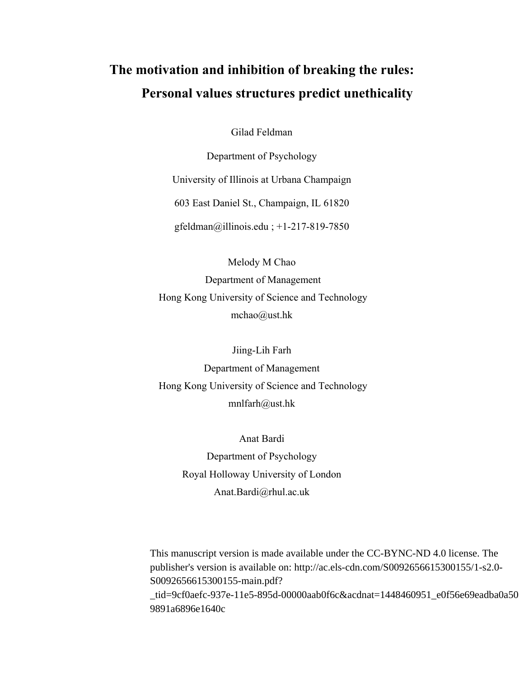# **The motivation and inhibition of breaking the rules: Personal values structures predict unethicality**

Gilad Feldman

Department of Psychology University of Illinois at Urbana Champaign 603 East Daniel St., Champaign, IL 61820 gfeldman@illinois.edu ; +1-217-819-7850

Melody M Chao Department of Management Hong Kong University of Science and Technology mchao@ust.hk

Jiing-Lih Farh Department of Management Hong Kong University of Science and Technology mnlfarh@ust.hk

> Anat Bardi Department of Psychology Royal Holloway University of London Anat.Bardi@rhul.ac.uk

This manuscript version is made available under the CC-BYNC-ND 4.0 license. The publisher's version is available on: http://ac.els-cdn.com/S0092656615300155/1-s2.0- S0092656615300155-main.pdf? \_tid=9cf0aefc-937e-11e5-895d-00000aab0f6c&acdnat=1448460951\_e0f56e69eadba0a50 9891a6896e1640c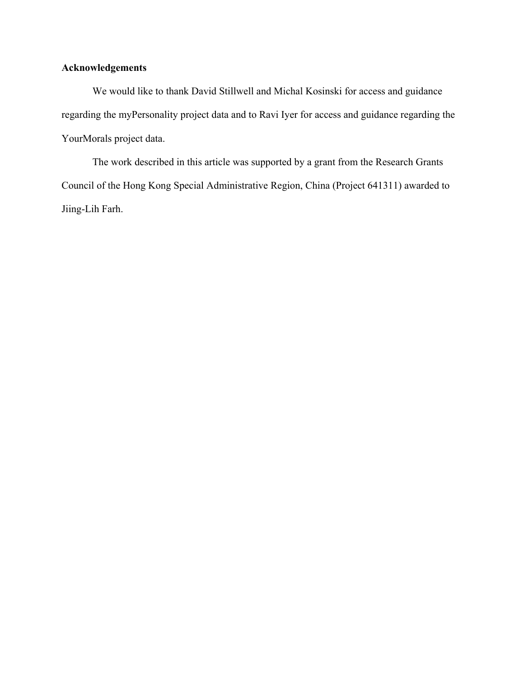# **Acknowledgements**

We would like to thank David Stillwell and Michal Kosinski for access and guidance regarding the myPersonality project data and to Ravi Iyer for access and guidance regarding the YourMorals project data.

The work described in this article was supported by a grant from the Research Grants Council of the Hong Kong Special Administrative Region, China (Project 641311) awarded to Jiing-Lih Farh.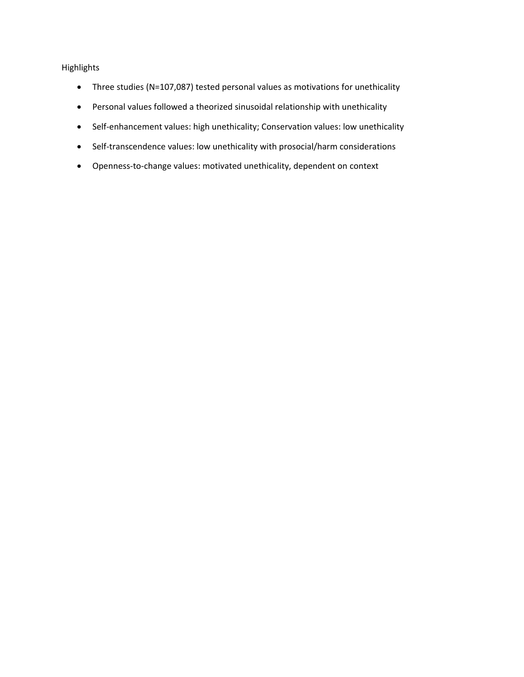# Highlights

- Three studies (N=107,087) tested personal values as motivations for unethicality
- Personal values followed a theorized sinusoidal relationship with unethicality
- Self-enhancement values: high unethicality; Conservation values: low unethicality
- Self-transcendence values: low unethicality with prosocial/harm considerations
- Openness‐to‐change values: motivated unethicality, dependent on context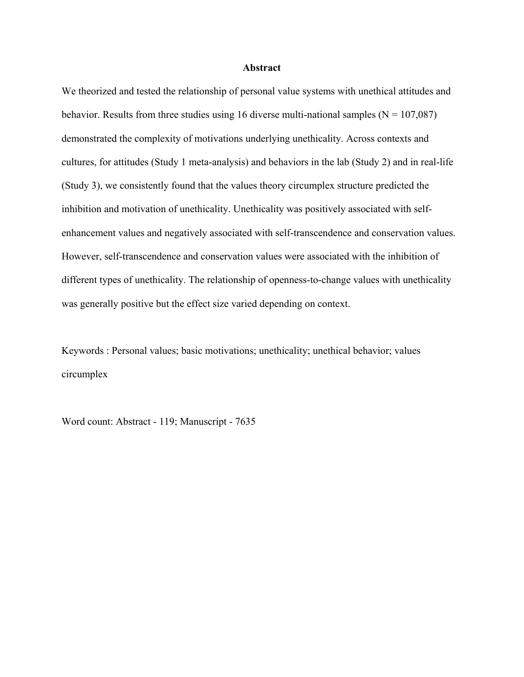### **Abstract**

We theorized and tested the relationship of personal value systems with unethical attitudes and behavior. Results from three studies using 16 diverse multi-national samples ( $N = 107,087$ ) demonstrated the complexity of motivations underlying unethicality. Across contexts and cultures, for attitudes (Study 1 meta-analysis) and behaviors in the lab (Study 2) and in real-life (Study 3), we consistently found that the values theory circumplex structure predicted the inhibition and motivation of unethicality. Unethicality was positively associated with selfenhancement values and negatively associated with self-transcendence and conservation values. However, self-transcendence and conservation values were associated with the inhibition of different types of unethicality. The relationship of openness-to-change values with unethicality was generally positive but the effect size varied depending on context.

Keywords : Personal values; basic motivations; unethicality; unethical behavior; values circumplex

Word count: Abstract - 119; Manuscript - 7635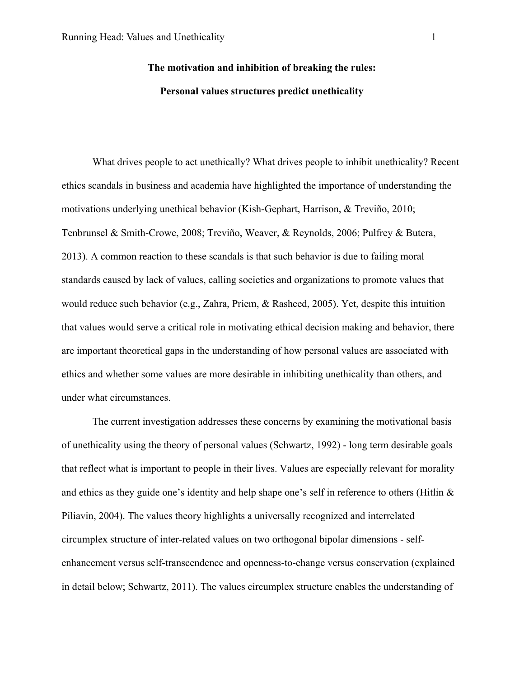# **The motivation and inhibition of breaking the rules: Personal values structures predict unethicality**

What drives people to act unethically? What drives people to inhibit unethicality? Recent ethics scandals in business and academia have highlighted the importance of understanding the motivations underlying unethical behavior (Kish-Gephart, Harrison, & Treviño, 2010; Tenbrunsel & Smith-Crowe, 2008; Treviño, Weaver, & Reynolds, 2006; Pulfrey & Butera, 2013). A common reaction to these scandals is that such behavior is due to failing moral standards caused by lack of values, calling societies and organizations to promote values that would reduce such behavior (e.g., Zahra, Priem, & Rasheed, 2005). Yet, despite this intuition that values would serve a critical role in motivating ethical decision making and behavior, there are important theoretical gaps in the understanding of how personal values are associated with ethics and whether some values are more desirable in inhibiting unethicality than others, and under what circumstances.

The current investigation addresses these concerns by examining the motivational basis of unethicality using the theory of personal values (Schwartz, 1992) - long term desirable goals that reflect what is important to people in their lives. Values are especially relevant for morality and ethics as they guide one's identity and help shape one's self in reference to others (Hitlin  $\&$ Piliavin, 2004). The values theory highlights a universally recognized and interrelated circumplex structure of inter-related values on two orthogonal bipolar dimensions - selfenhancement versus self-transcendence and openness-to-change versus conservation (explained in detail below; Schwartz, 2011). The values circumplex structure enables the understanding of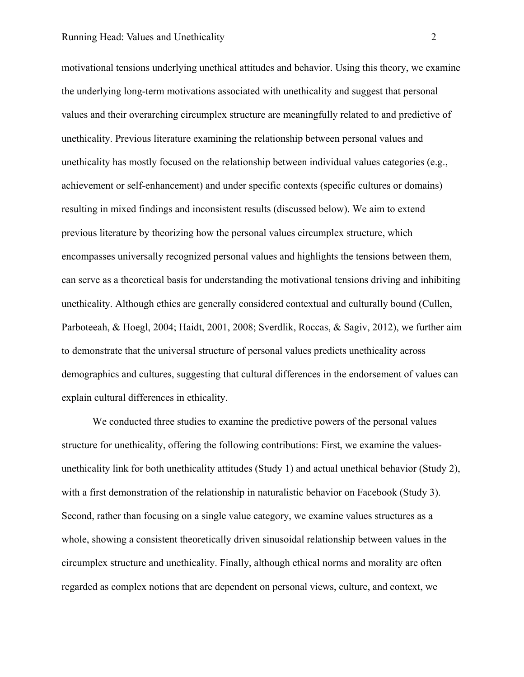motivational tensions underlying unethical attitudes and behavior. Using this theory, we examine the underlying long-term motivations associated with unethicality and suggest that personal values and their overarching circumplex structure are meaningfully related to and predictive of unethicality. Previous literature examining the relationship between personal values and unethicality has mostly focused on the relationship between individual values categories (e.g., achievement or self-enhancement) and under specific contexts (specific cultures or domains) resulting in mixed findings and inconsistent results (discussed below). We aim to extend previous literature by theorizing how the personal values circumplex structure, which encompasses universally recognized personal values and highlights the tensions between them, can serve as a theoretical basis for understanding the motivational tensions driving and inhibiting unethicality. Although ethics are generally considered contextual and culturally bound (Cullen, Parboteeah, & Hoegl, 2004; Haidt, 2001, 2008; Sverdlik, Roccas, & Sagiv, 2012), we further aim to demonstrate that the universal structure of personal values predicts unethicality across demographics and cultures, suggesting that cultural differences in the endorsement of values can explain cultural differences in ethicality.

We conducted three studies to examine the predictive powers of the personal values structure for unethicality, offering the following contributions: First, we examine the valuesunethicality link for both unethicality attitudes (Study 1) and actual unethical behavior (Study 2), with a first demonstration of the relationship in naturalistic behavior on Facebook (Study 3). Second, rather than focusing on a single value category, we examine values structures as a whole, showing a consistent theoretically driven sinusoidal relationship between values in the circumplex structure and unethicality. Finally, although ethical norms and morality are often regarded as complex notions that are dependent on personal views, culture, and context, we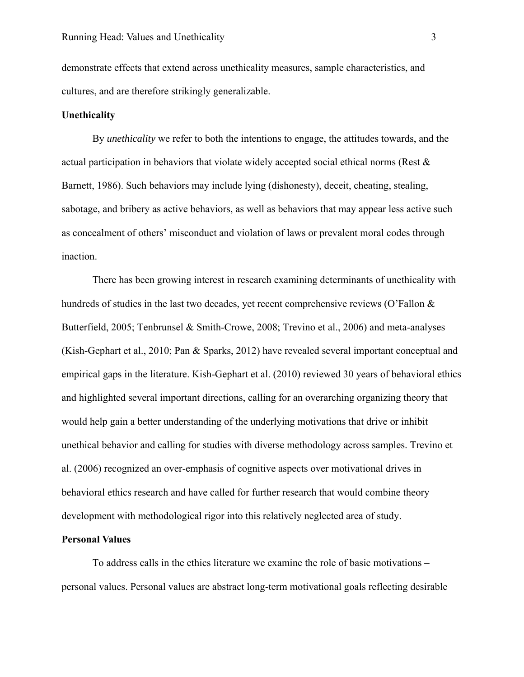demonstrate effects that extend across unethicality measures, sample characteristics, and cultures, and are therefore strikingly generalizable.

## **Unethicality**

By *unethicality* we refer to both the intentions to engage, the attitudes towards, and the actual participation in behaviors that violate widely accepted social ethical norms (Rest & Barnett, 1986). Such behaviors may include lying (dishonesty), deceit, cheating, stealing, sabotage, and bribery as active behaviors, as well as behaviors that may appear less active such as concealment of others' misconduct and violation of laws or prevalent moral codes through inaction.

There has been growing interest in research examining determinants of unethicality with hundreds of studies in the last two decades, yet recent comprehensive reviews (O'Fallon & Butterfield, 2005; Tenbrunsel & Smith-Crowe, 2008; Trevino et al., 2006) and meta-analyses (Kish-Gephart et al., 2010; Pan & Sparks, 2012) have revealed several important conceptual and empirical gaps in the literature. Kish-Gephart et al. (2010) reviewed 30 years of behavioral ethics and highlighted several important directions, calling for an overarching organizing theory that would help gain a better understanding of the underlying motivations that drive or inhibit unethical behavior and calling for studies with diverse methodology across samples. Trevino et al. (2006) recognized an over-emphasis of cognitive aspects over motivational drives in behavioral ethics research and have called for further research that would combine theory development with methodological rigor into this relatively neglected area of study.

## **Personal Values**

To address calls in the ethics literature we examine the role of basic motivations – personal values. Personal values are abstract long-term motivational goals reflecting desirable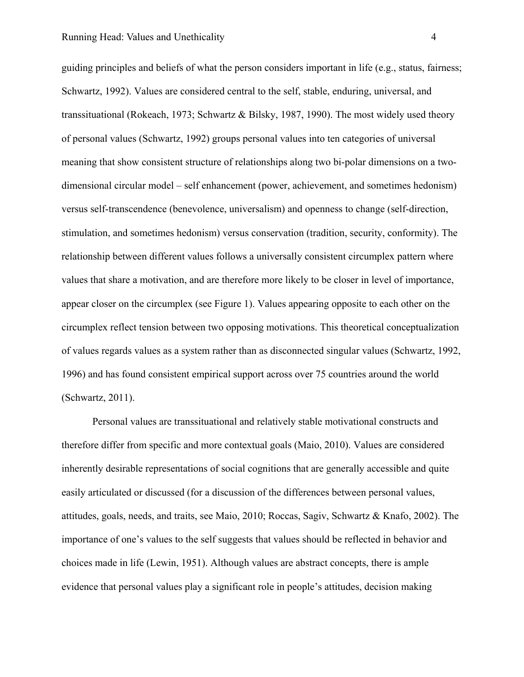guiding principles and beliefs of what the person considers important in life (e.g., status, fairness; Schwartz, 1992). Values are considered central to the self, stable, enduring, universal, and transsituational (Rokeach, 1973; Schwartz & Bilsky, 1987, 1990). The most widely used theory of personal values (Schwartz, 1992) groups personal values into ten categories of universal meaning that show consistent structure of relationships along two bi-polar dimensions on a twodimensional circular model – self enhancement (power, achievement, and sometimes hedonism) versus self-transcendence (benevolence, universalism) and openness to change (self-direction, stimulation, and sometimes hedonism) versus conservation (tradition, security, conformity). The relationship between different values follows a universally consistent circumplex pattern where values that share a motivation, and are therefore more likely to be closer in level of importance, appear closer on the circumplex (see Figure 1). Values appearing opposite to each other on the circumplex reflect tension between two opposing motivations. This theoretical conceptualization of values regards values as a system rather than as disconnected singular values (Schwartz, 1992, 1996) and has found consistent empirical support across over 75 countries around the world (Schwartz, 2011).

Personal values are transsituational and relatively stable motivational constructs and therefore differ from specific and more contextual goals (Maio, 2010). Values are considered inherently desirable representations of social cognitions that are generally accessible and quite easily articulated or discussed (for a discussion of the differences between personal values, attitudes, goals, needs, and traits, see Maio, 2010; Roccas, Sagiv, Schwartz & Knafo, 2002). The importance of one's values to the self suggests that values should be reflected in behavior and choices made in life (Lewin, 1951). Although values are abstract concepts, there is ample evidence that personal values play a significant role in people's attitudes, decision making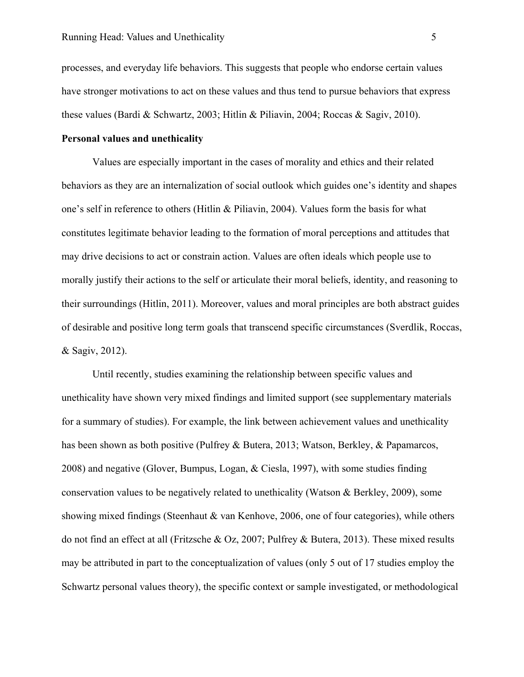processes, and everyday life behaviors. This suggests that people who endorse certain values have stronger motivations to act on these values and thus tend to pursue behaviors that express these values (Bardi & Schwartz, 2003; Hitlin & Piliavin, 2004; Roccas & Sagiv, 2010).

# **Personal values and unethicality**

Values are especially important in the cases of morality and ethics and their related behaviors as they are an internalization of social outlook which guides one's identity and shapes one's self in reference to others (Hitlin & Piliavin, 2004). Values form the basis for what constitutes legitimate behavior leading to the formation of moral perceptions and attitudes that may drive decisions to act or constrain action. Values are often ideals which people use to morally justify their actions to the self or articulate their moral beliefs, identity, and reasoning to their surroundings (Hitlin, 2011). Moreover, values and moral principles are both abstract guides of desirable and positive long term goals that transcend specific circumstances (Sverdlik, Roccas, & Sagiv, 2012).

Until recently, studies examining the relationship between specific values and unethicality have shown very mixed findings and limited support (see supplementary materials for a summary of studies). For example, the link between achievement values and unethicality has been shown as both positive (Pulfrey & Butera, 2013; Watson, Berkley, & Papamarcos, 2008) and negative (Glover, Bumpus, Logan, & Ciesla, 1997), with some studies finding conservation values to be negatively related to unethicality (Watson & Berkley, 2009), some showing mixed findings (Steenhaut & van Kenhove, 2006, one of four categories), while others do not find an effect at all (Fritzsche & Oz, 2007; Pulfrey & Butera, 2013). These mixed results may be attributed in part to the conceptualization of values (only 5 out of 17 studies employ the Schwartz personal values theory), the specific context or sample investigated, or methodological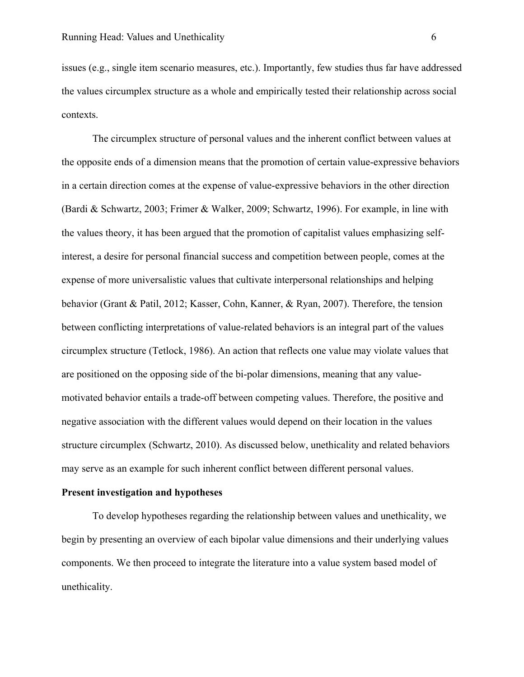issues (e.g., single item scenario measures, etc.). Importantly, few studies thus far have addressed the values circumplex structure as a whole and empirically tested their relationship across social contexts.

The circumplex structure of personal values and the inherent conflict between values at the opposite ends of a dimension means that the promotion of certain value-expressive behaviors in a certain direction comes at the expense of value-expressive behaviors in the other direction (Bardi & Schwartz, 2003; Frimer & Walker, 2009; Schwartz, 1996). For example, in line with the values theory, it has been argued that the promotion of capitalist values emphasizing selfinterest, a desire for personal financial success and competition between people, comes at the expense of more universalistic values that cultivate interpersonal relationships and helping behavior (Grant & Patil, 2012; Kasser, Cohn, Kanner, & Ryan, 2007). Therefore, the tension between conflicting interpretations of value-related behaviors is an integral part of the values circumplex structure (Tetlock, 1986). An action that reflects one value may violate values that are positioned on the opposing side of the bi-polar dimensions, meaning that any valuemotivated behavior entails a trade-off between competing values. Therefore, the positive and negative association with the different values would depend on their location in the values structure circumplex (Schwartz, 2010). As discussed below, unethicality and related behaviors may serve as an example for such inherent conflict between different personal values.

### **Present investigation and hypotheses**

To develop hypotheses regarding the relationship between values and unethicality, we begin by presenting an overview of each bipolar value dimensions and their underlying values components. We then proceed to integrate the literature into a value system based model of unethicality.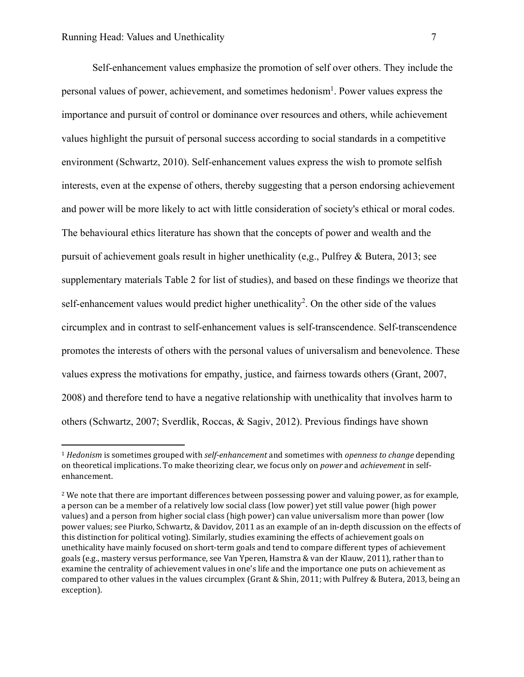$\overline{a}$ 

Self-enhancement values emphasize the promotion of self over others. They include the personal values of power, achievement, and sometimes hedonism<sup>1</sup>. Power values express the importance and pursuit of control or dominance over resources and others, while achievement values highlight the pursuit of personal success according to social standards in a competitive environment (Schwartz, 2010). Self-enhancement values express the wish to promote selfish interests, even at the expense of others, thereby suggesting that a person endorsing achievement and power will be more likely to act with little consideration of society's ethical or moral codes. The behavioural ethics literature has shown that the concepts of power and wealth and the pursuit of achievement goals result in higher unethicality (e,g., Pulfrey & Butera, 2013; see supplementary materials Table 2 for list of studies), and based on these findings we theorize that self-enhancement values would predict higher unethicality<sup>2</sup>. On the other side of the values circumplex and in contrast to self-enhancement values is self-transcendence. Self-transcendence promotes the interests of others with the personal values of universalism and benevolence. These values express the motivations for empathy, justice, and fairness towards others (Grant, 2007, 2008) and therefore tend to have a negative relationship with unethicality that involves harm to others (Schwartz, 2007; Sverdlik, Roccas, & Sagiv, 2012). Previous findings have shown

<sup>1</sup> *Hedonism* is sometimes grouped with *self-enhancement* and sometimes with *openness to change* depending on theoretical implications. To make theorizing clear, we focus only on *power* and *achievement* in selfenhancement. 

 $2$  We note that there are important differences between possessing power and valuing power, as for example, a person can be a member of a relatively low social class (low power) yet still value power (high power values) and a person from higher social class (high power) can value universalism more than power (low power values; see Piurko, Schwartz, & Davidov, 2011 as an example of an in-depth discussion on the effects of this distinction for political voting). Similarly, studies examining the effects of achievement goals on unethicality have mainly focused on short-term goals and tend to compare different types of achievement goals (e.g., mastery versus performance, see Van Yperen, Hamstra & van der Klauw, 2011), rather than to examine the centrality of achievement values in one's life and the importance one puts on achievement as compared to other values in the values circumplex (Grant & Shin, 2011; with Pulfrey & Butera, 2013, being an exception).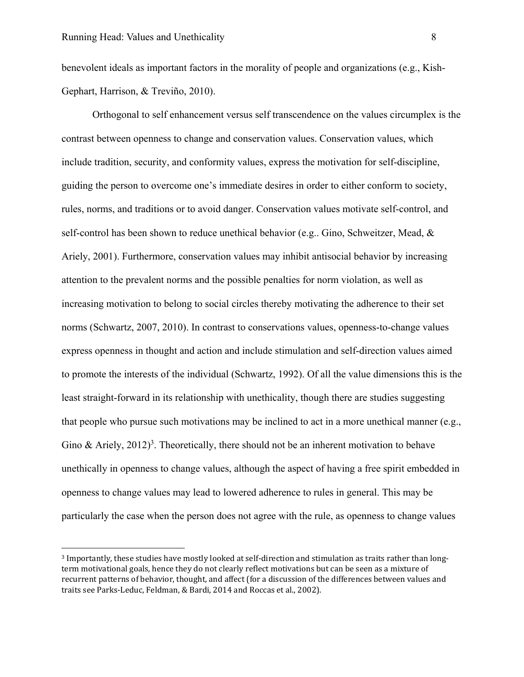$\overline{a}$ 

benevolent ideals as important factors in the morality of people and organizations (e.g., Kish-Gephart, Harrison, & Treviño, 2010).

Orthogonal to self enhancement versus self transcendence on the values circumplex is the contrast between openness to change and conservation values. Conservation values, which include tradition, security, and conformity values, express the motivation for self-discipline, guiding the person to overcome one's immediate desires in order to either conform to society, rules, norms, and traditions or to avoid danger. Conservation values motivate self-control, and self-control has been shown to reduce unethical behavior (e.g.. Gino, Schweitzer, Mead, & Ariely, 2001). Furthermore, conservation values may inhibit antisocial behavior by increasing attention to the prevalent norms and the possible penalties for norm violation, as well as increasing motivation to belong to social circles thereby motivating the adherence to their set norms (Schwartz, 2007, 2010). In contrast to conservations values, openness-to-change values express openness in thought and action and include stimulation and self-direction values aimed to promote the interests of the individual (Schwartz, 1992). Of all the value dimensions this is the least straight-forward in its relationship with unethicality, though there are studies suggesting that people who pursue such motivations may be inclined to act in a more unethical manner (e.g., Gino & Ariely, 2012)<sup>3</sup>. Theoretically, there should not be an inherent motivation to behave unethically in openness to change values, although the aspect of having a free spirit embedded in openness to change values may lead to lowered adherence to rules in general. This may be particularly the case when the person does not agree with the rule, as openness to change values

<sup>&</sup>lt;sup>3</sup> Importantly, these studies have mostly looked at self-direction and stimulation as traits rather than longterm motivational goals, hence they do not clearly reflect motivations but can be seen as a mixture of recurrent patterns of behavior, thought, and affect (for a discussion of the differences between values and traits see Parks-Leduc, Feldman, & Bardi, 2014 and Roccas et al., 2002).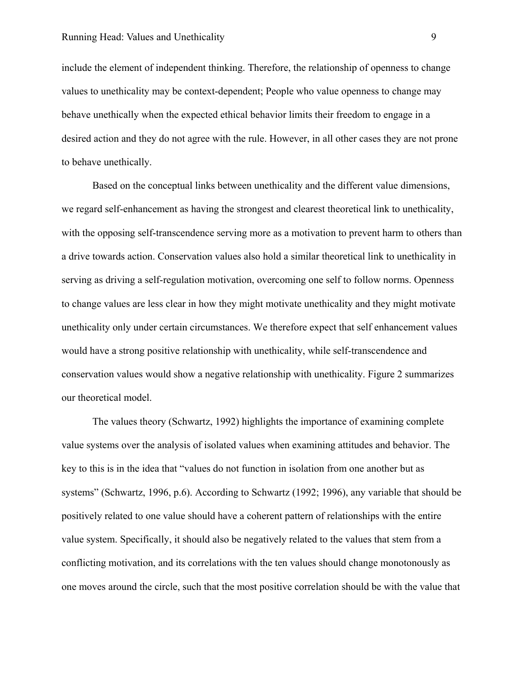include the element of independent thinking. Therefore, the relationship of openness to change values to unethicality may be context-dependent; People who value openness to change may behave unethically when the expected ethical behavior limits their freedom to engage in a desired action and they do not agree with the rule. However, in all other cases they are not prone to behave unethically.

Based on the conceptual links between unethicality and the different value dimensions, we regard self-enhancement as having the strongest and clearest theoretical link to unethicality, with the opposing self-transcendence serving more as a motivation to prevent harm to others than a drive towards action. Conservation values also hold a similar theoretical link to unethicality in serving as driving a self-regulation motivation, overcoming one self to follow norms. Openness to change values are less clear in how they might motivate unethicality and they might motivate unethicality only under certain circumstances. We therefore expect that self enhancement values would have a strong positive relationship with unethicality, while self-transcendence and conservation values would show a negative relationship with unethicality. Figure 2 summarizes our theoretical model.

The values theory (Schwartz, 1992) highlights the importance of examining complete value systems over the analysis of isolated values when examining attitudes and behavior. The key to this is in the idea that "values do not function in isolation from one another but as systems" (Schwartz, 1996, p.6). According to Schwartz (1992; 1996), any variable that should be positively related to one value should have a coherent pattern of relationships with the entire value system. Specifically, it should also be negatively related to the values that stem from a conflicting motivation, and its correlations with the ten values should change monotonously as one moves around the circle, such that the most positive correlation should be with the value that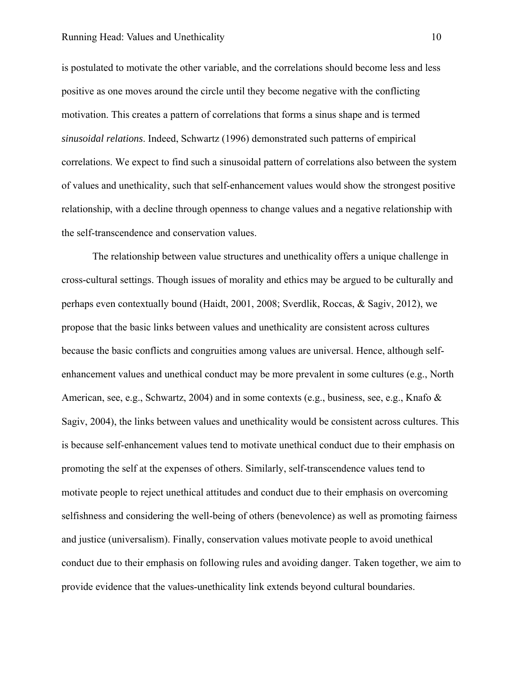is postulated to motivate the other variable, and the correlations should become less and less positive as one moves around the circle until they become negative with the conflicting motivation. This creates a pattern of correlations that forms a sinus shape and is termed *sinusoidal relations*. Indeed, Schwartz (1996) demonstrated such patterns of empirical correlations. We expect to find such a sinusoidal pattern of correlations also between the system of values and unethicality, such that self-enhancement values would show the strongest positive relationship, with a decline through openness to change values and a negative relationship with the self-transcendence and conservation values.

The relationship between value structures and unethicality offers a unique challenge in cross-cultural settings. Though issues of morality and ethics may be argued to be culturally and perhaps even contextually bound (Haidt, 2001, 2008; Sverdlik, Roccas, & Sagiv, 2012), we propose that the basic links between values and unethicality are consistent across cultures because the basic conflicts and congruities among values are universal. Hence, although selfenhancement values and unethical conduct may be more prevalent in some cultures (e.g., North American, see, e.g., Schwartz, 2004) and in some contexts (e.g., business, see, e.g., Knafo & Sagiv, 2004), the links between values and unethicality would be consistent across cultures. This is because self-enhancement values tend to motivate unethical conduct due to their emphasis on promoting the self at the expenses of others. Similarly, self-transcendence values tend to motivate people to reject unethical attitudes and conduct due to their emphasis on overcoming selfishness and considering the well-being of others (benevolence) as well as promoting fairness and justice (universalism). Finally, conservation values motivate people to avoid unethical conduct due to their emphasis on following rules and avoiding danger. Taken together, we aim to provide evidence that the values-unethicality link extends beyond cultural boundaries.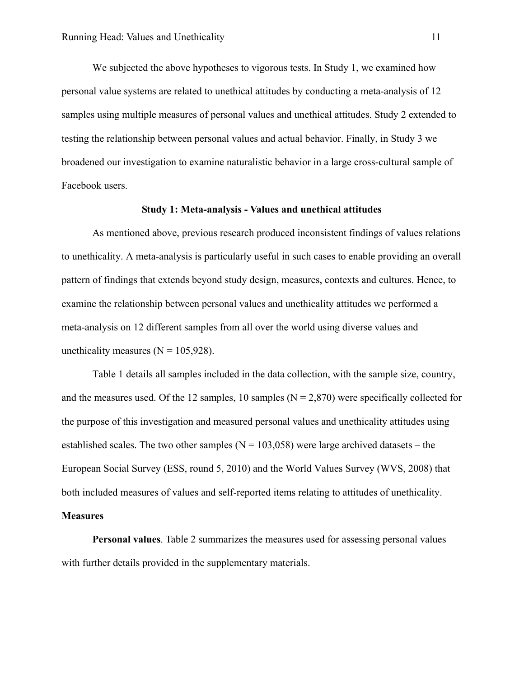We subjected the above hypotheses to vigorous tests. In Study 1, we examined how personal value systems are related to unethical attitudes by conducting a meta-analysis of 12 samples using multiple measures of personal values and unethical attitudes. Study 2 extended to testing the relationship between personal values and actual behavior. Finally, in Study 3 we broadened our investigation to examine naturalistic behavior in a large cross-cultural sample of Facebook users.

# **Study 1: Meta-analysis - Values and unethical attitudes**

As mentioned above, previous research produced inconsistent findings of values relations to unethicality. A meta-analysis is particularly useful in such cases to enable providing an overall pattern of findings that extends beyond study design, measures, contexts and cultures. Hence, to examine the relationship between personal values and unethicality attitudes we performed a meta-analysis on 12 different samples from all over the world using diverse values and unethicality measures ( $N = 105,928$ ).

Table 1 details all samples included in the data collection, with the sample size, country, and the measures used. Of the 12 samples, 10 samples ( $N = 2,870$ ) were specifically collected for the purpose of this investigation and measured personal values and unethicality attitudes using established scales. The two other samples ( $N = 103,058$ ) were large archived datasets – the European Social Survey (ESS, round 5, 2010) and the World Values Survey (WVS, 2008) that both included measures of values and self-reported items relating to attitudes of unethicality. **Measures** 

# **Personal values**. Table 2 summarizes the measures used for assessing personal values with further details provided in the supplementary materials.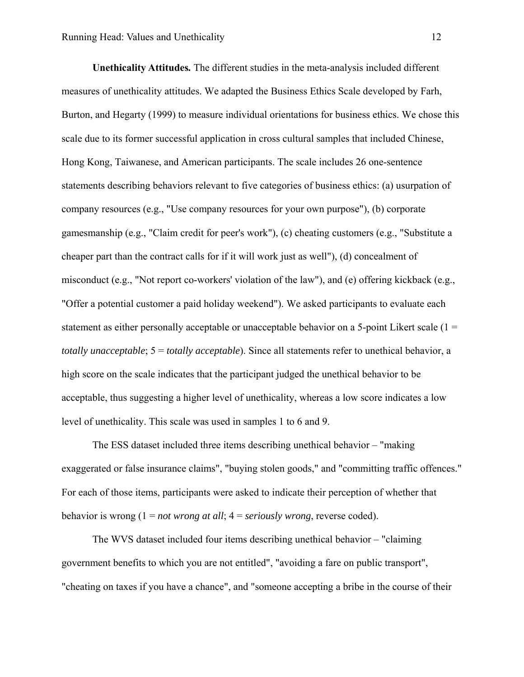**Unethicality Attitudes***.* The different studies in the meta-analysis included different measures of unethicality attitudes. We adapted the Business Ethics Scale developed by Farh, Burton, and Hegarty (1999) to measure individual orientations for business ethics. We chose this scale due to its former successful application in cross cultural samples that included Chinese, Hong Kong, Taiwanese, and American participants. The scale includes 26 one-sentence statements describing behaviors relevant to five categories of business ethics: (a) usurpation of company resources (e.g., "Use company resources for your own purpose"), (b) corporate gamesmanship (e.g., "Claim credit for peer's work"), (c) cheating customers (e.g., "Substitute a cheaper part than the contract calls for if it will work just as well"), (d) concealment of misconduct (e.g., "Not report co-workers' violation of the law"), and (e) offering kickback (e.g., "Offer a potential customer a paid holiday weekend"). We asked participants to evaluate each statement as either personally acceptable or unacceptable behavior on a 5-point Likert scale  $(1 =$ *totally unacceptable*; 5 = *totally acceptable*). Since all statements refer to unethical behavior, a high score on the scale indicates that the participant judged the unethical behavior to be acceptable, thus suggesting a higher level of unethicality, whereas a low score indicates a low level of unethicality. This scale was used in samples 1 to 6 and 9.

The ESS dataset included three items describing unethical behavior – "making exaggerated or false insurance claims", "buying stolen goods," and "committing traffic offences." For each of those items, participants were asked to indicate their perception of whether that behavior is wrong (1 = *not wrong at all*; 4 = *seriously wrong*, reverse coded).

The WVS dataset included four items describing unethical behavior – "claiming government benefits to which you are not entitled", "avoiding a fare on public transport", "cheating on taxes if you have a chance", and "someone accepting a bribe in the course of their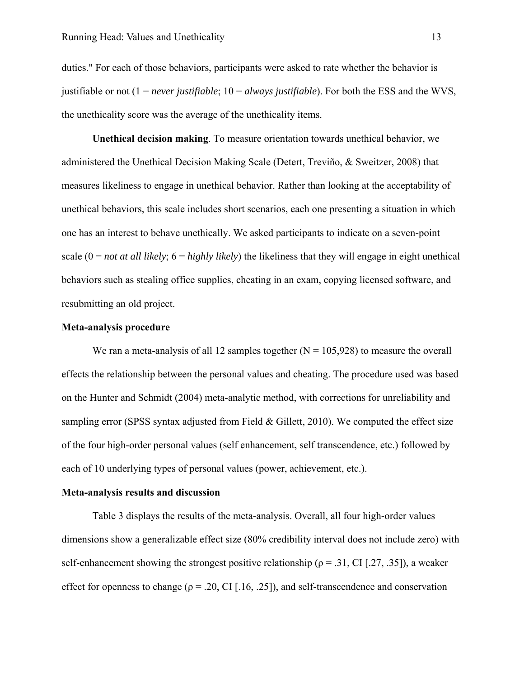duties." For each of those behaviors, participants were asked to rate whether the behavior is justifiable or not (1 = *never justifiable*; 10 = *always justifiable*). For both the ESS and the WVS, the unethicality score was the average of the unethicality items.

**Unethical decision making**. To measure orientation towards unethical behavior, we administered the Unethical Decision Making Scale (Detert, Treviño, & Sweitzer, 2008) that measures likeliness to engage in unethical behavior. Rather than looking at the acceptability of unethical behaviors, this scale includes short scenarios, each one presenting a situation in which one has an interest to behave unethically. We asked participants to indicate on a seven-point scale  $(0 = not at all likely; 6 = highly likely)$  the likeliness that they will engage in eight unethical behaviors such as stealing office supplies, cheating in an exam, copying licensed software, and resubmitting an old project.

# **Meta-analysis procedure**

We ran a meta-analysis of all 12 samples together  $(N = 105,928)$  to measure the overall effects the relationship between the personal values and cheating. The procedure used was based on the Hunter and Schmidt (2004) meta-analytic method, with corrections for unreliability and sampling error (SPSS syntax adjusted from Field & Gillett, 2010). We computed the effect size of the four high-order personal values (self enhancement, self transcendence, etc.) followed by each of 10 underlying types of personal values (power, achievement, etc.).

### **Meta-analysis results and discussion**

Table 3 displays the results of the meta-analysis. Overall, all four high-order values dimensions show a generalizable effect size (80% credibility interval does not include zero) with self-enhancement showing the strongest positive relationship ( $\rho = .31$ , CI [.27, .35]), a weaker effect for openness to change ( $\rho = .20$ , CI [.16, .25]), and self-transcendence and conservation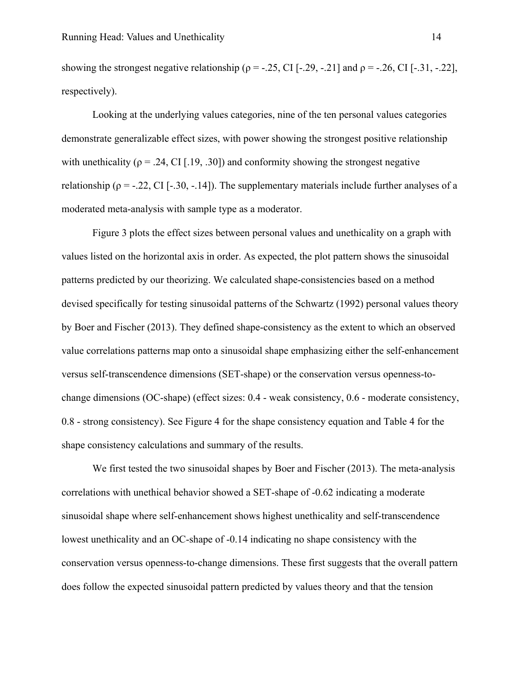showing the strongest negative relationship ( $\rho = -.25$ , CI [-.29, -.21] and  $\rho = -.26$ , CI [-.31, -.22], respectively).

Looking at the underlying values categories, nine of the ten personal values categories demonstrate generalizable effect sizes, with power showing the strongest positive relationship with unethicality ( $\rho = .24$ , CI [.19, .30]) and conformity showing the strongest negative relationship ( $\rho = -0.22$ , CI [-.30, -.14]). The supplementary materials include further analyses of a moderated meta-analysis with sample type as a moderator.

Figure 3 plots the effect sizes between personal values and unethicality on a graph with values listed on the horizontal axis in order. As expected, the plot pattern shows the sinusoidal patterns predicted by our theorizing. We calculated shape-consistencies based on a method devised specifically for testing sinusoidal patterns of the Schwartz (1992) personal values theory by Boer and Fischer (2013). They defined shape-consistency as the extent to which an observed value correlations patterns map onto a sinusoidal shape emphasizing either the self-enhancement versus self-transcendence dimensions (SET-shape) or the conservation versus openness-tochange dimensions (OC-shape) (effect sizes: 0.4 - weak consistency, 0.6 - moderate consistency, 0.8 - strong consistency). See Figure 4 for the shape consistency equation and Table 4 for the shape consistency calculations and summary of the results.

We first tested the two sinusoidal shapes by Boer and Fischer (2013). The meta-analysis correlations with unethical behavior showed a SET-shape of -0.62 indicating a moderate sinusoidal shape where self-enhancement shows highest unethicality and self-transcendence lowest unethicality and an OC-shape of -0.14 indicating no shape consistency with the conservation versus openness-to-change dimensions. These first suggests that the overall pattern does follow the expected sinusoidal pattern predicted by values theory and that the tension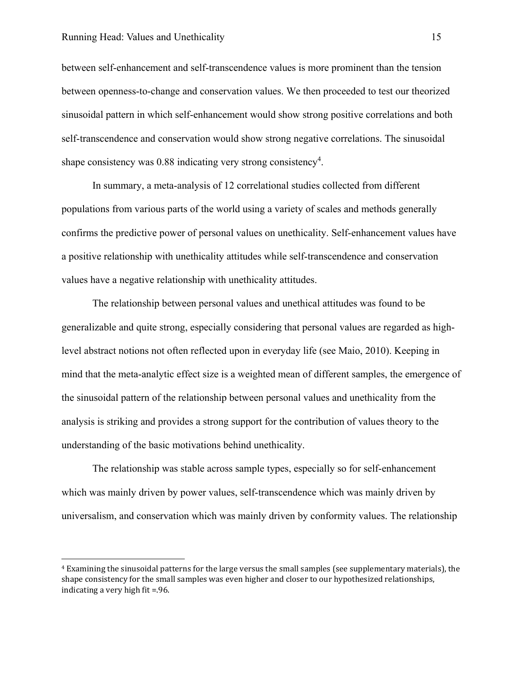$\overline{a}$ 

between self-enhancement and self-transcendence values is more prominent than the tension between openness-to-change and conservation values. We then proceeded to test our theorized sinusoidal pattern in which self-enhancement would show strong positive correlations and both self-transcendence and conservation would show strong negative correlations. The sinusoidal shape consistency was 0.88 indicating very strong consistency<sup>4</sup>.

In summary, a meta-analysis of 12 correlational studies collected from different populations from various parts of the world using a variety of scales and methods generally confirms the predictive power of personal values on unethicality. Self-enhancement values have a positive relationship with unethicality attitudes while self-transcendence and conservation values have a negative relationship with unethicality attitudes.

The relationship between personal values and unethical attitudes was found to be generalizable and quite strong, especially considering that personal values are regarded as highlevel abstract notions not often reflected upon in everyday life (see Maio, 2010). Keeping in mind that the meta-analytic effect size is a weighted mean of different samples, the emergence of the sinusoidal pattern of the relationship between personal values and unethicality from the analysis is striking and provides a strong support for the contribution of values theory to the understanding of the basic motivations behind unethicality.

The relationship was stable across sample types, especially so for self-enhancement which was mainly driven by power values, self-transcendence which was mainly driven by universalism, and conservation which was mainly driven by conformity values. The relationship

<sup>&</sup>lt;sup>4</sup> Examining the sinusoidal patterns for the large versus the small samples (see supplementary materials), the shape consistency for the small samples was even higher and closer to our hypothesized relationships, indicating a very high fit  $=$ .96.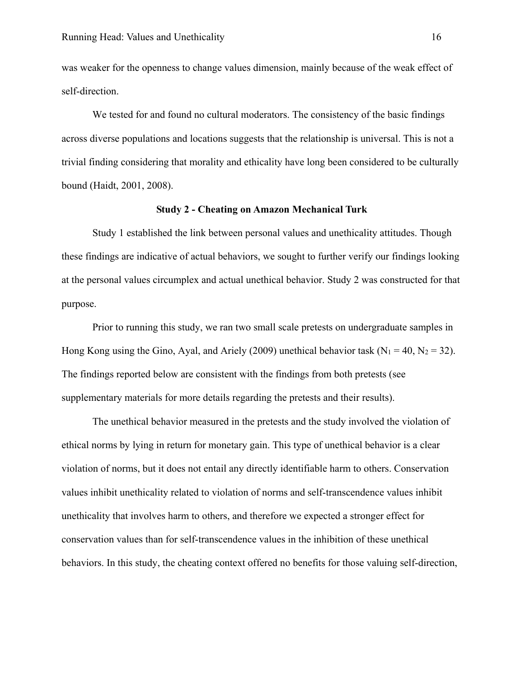was weaker for the openness to change values dimension, mainly because of the weak effect of self-direction.

We tested for and found no cultural moderators. The consistency of the basic findings across diverse populations and locations suggests that the relationship is universal. This is not a trivial finding considering that morality and ethicality have long been considered to be culturally bound (Haidt, 2001, 2008).

# **Study 2 - Cheating on Amazon Mechanical Turk**

Study 1 established the link between personal values and unethicality attitudes. Though these findings are indicative of actual behaviors, we sought to further verify our findings looking at the personal values circumplex and actual unethical behavior. Study 2 was constructed for that purpose.

Prior to running this study, we ran two small scale pretests on undergraduate samples in Hong Kong using the Gino, Ayal, and Ariely (2009) unethical behavior task ( $N_1 = 40$ ,  $N_2 = 32$ ). The findings reported below are consistent with the findings from both pretests (see supplementary materials for more details regarding the pretests and their results).

The unethical behavior measured in the pretests and the study involved the violation of ethical norms by lying in return for monetary gain. This type of unethical behavior is a clear violation of norms, but it does not entail any directly identifiable harm to others. Conservation values inhibit unethicality related to violation of norms and self-transcendence values inhibit unethicality that involves harm to others, and therefore we expected a stronger effect for conservation values than for self-transcendence values in the inhibition of these unethical behaviors. In this study, the cheating context offered no benefits for those valuing self-direction,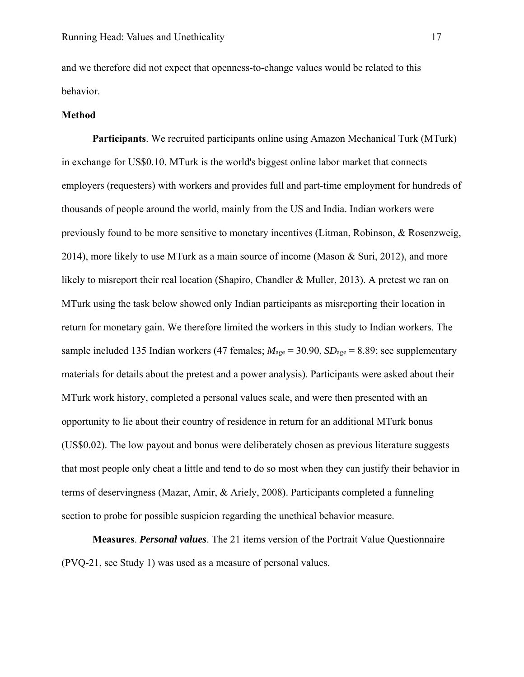and we therefore did not expect that openness-to-change values would be related to this behavior.

### **Method**

**Participants**. We recruited participants online using Amazon Mechanical Turk (MTurk) in exchange for US\$0.10. MTurk is the world's biggest online labor market that connects employers (requesters) with workers and provides full and part-time employment for hundreds of thousands of people around the world, mainly from the US and India. Indian workers were previously found to be more sensitive to monetary incentives (Litman, Robinson, & Rosenzweig, 2014), more likely to use MTurk as a main source of income (Mason & Suri, 2012), and more likely to misreport their real location (Shapiro, Chandler & Muller, 2013). A pretest we ran on MTurk using the task below showed only Indian participants as misreporting their location in return for monetary gain. We therefore limited the workers in this study to Indian workers. The sample included 135 Indian workers (47 females; *M*age = 30.90, *SD*age = 8.89; see supplementary materials for details about the pretest and a power analysis). Participants were asked about their MTurk work history, completed a personal values scale, and were then presented with an opportunity to lie about their country of residence in return for an additional MTurk bonus (US\$0.02). The low payout and bonus were deliberately chosen as previous literature suggests that most people only cheat a little and tend to do so most when they can justify their behavior in terms of deservingness (Mazar, Amir, & Ariely, 2008). Participants completed a funneling section to probe for possible suspicion regarding the unethical behavior measure.

**Measures**. *Personal values*. The 21 items version of the Portrait Value Questionnaire (PVQ-21, see Study 1) was used as a measure of personal values.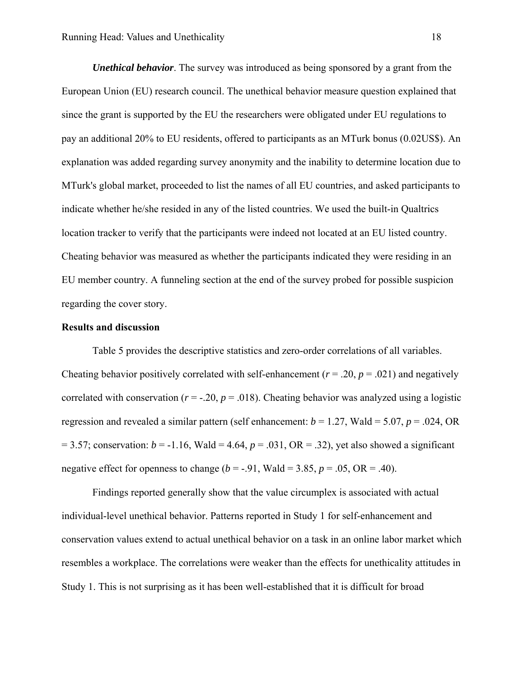*Unethical behavior*. The survey was introduced as being sponsored by a grant from the European Union (EU) research council. The unethical behavior measure question explained that since the grant is supported by the EU the researchers were obligated under EU regulations to pay an additional 20% to EU residents, offered to participants as an MTurk bonus (0.02US\$). An explanation was added regarding survey anonymity and the inability to determine location due to MTurk's global market, proceeded to list the names of all EU countries, and asked participants to indicate whether he/she resided in any of the listed countries. We used the built-in Qualtrics location tracker to verify that the participants were indeed not located at an EU listed country. Cheating behavior was measured as whether the participants indicated they were residing in an EU member country. A funneling section at the end of the survey probed for possible suspicion regarding the cover story.

## **Results and discussion**

Table 5 provides the descriptive statistics and zero-order correlations of all variables. Cheating behavior positively correlated with self-enhancement  $(r = .20, p = .021)$  and negatively correlated with conservation ( $r = -20$ ,  $p = .018$ ). Cheating behavior was analyzed using a logistic regression and revealed a similar pattern (self enhancement:  $b = 1.27$ , Wald = 5.07,  $p = .024$ , OR  $= 3.57$ ; conservation:  $b = -1.16$ , Wald  $= 4.64$ ,  $p = .031$ , OR  $= .32$ ), yet also showed a significant negative effect for openness to change ( $b = -.91$ , Wald = 3.85,  $p = .05$ , OR = .40).

Findings reported generally show that the value circumplex is associated with actual individual-level unethical behavior. Patterns reported in Study 1 for self-enhancement and conservation values extend to actual unethical behavior on a task in an online labor market which resembles a workplace. The correlations were weaker than the effects for unethicality attitudes in Study 1. This is not surprising as it has been well-established that it is difficult for broad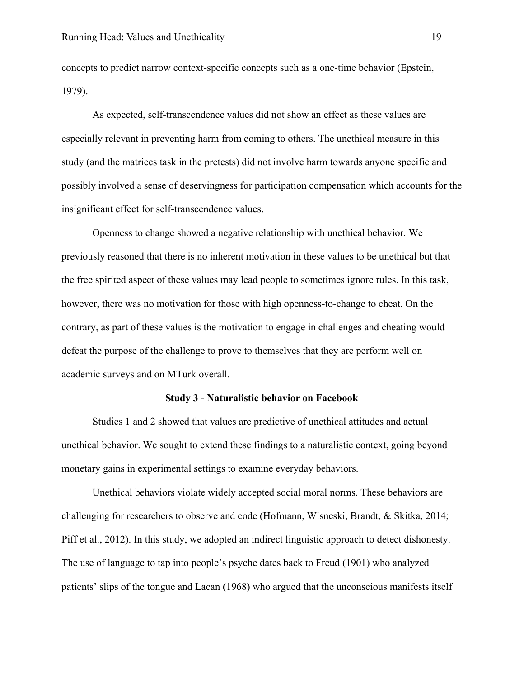concepts to predict narrow context-specific concepts such as a one-time behavior (Epstein, 1979).

As expected, self-transcendence values did not show an effect as these values are especially relevant in preventing harm from coming to others. The unethical measure in this study (and the matrices task in the pretests) did not involve harm towards anyone specific and possibly involved a sense of deservingness for participation compensation which accounts for the insignificant effect for self-transcendence values.

Openness to change showed a negative relationship with unethical behavior. We previously reasoned that there is no inherent motivation in these values to be unethical but that the free spirited aspect of these values may lead people to sometimes ignore rules. In this task, however, there was no motivation for those with high openness-to-change to cheat. On the contrary, as part of these values is the motivation to engage in challenges and cheating would defeat the purpose of the challenge to prove to themselves that they are perform well on academic surveys and on MTurk overall.

#### **Study 3 - Naturalistic behavior on Facebook**

Studies 1 and 2 showed that values are predictive of unethical attitudes and actual unethical behavior. We sought to extend these findings to a naturalistic context, going beyond monetary gains in experimental settings to examine everyday behaviors.

Unethical behaviors violate widely accepted social moral norms. These behaviors are challenging for researchers to observe and code (Hofmann, Wisneski, Brandt, & Skitka, 2014; Piff et al., 2012). In this study, we adopted an indirect linguistic approach to detect dishonesty. The use of language to tap into people's psyche dates back to Freud (1901) who analyzed patients' slips of the tongue and Lacan (1968) who argued that the unconscious manifests itself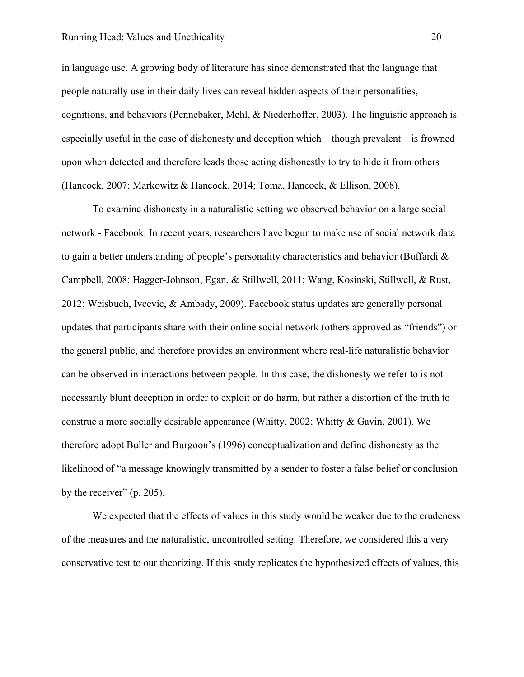#### Running Head: Values and Unethicality 20

in language use. A growing body of literature has since demonstrated that the language that people naturally use in their daily lives can reveal hidden aspects of their personalities, cognitions, and behaviors (Pennebaker, Mehl, & Niederhoffer, 2003). The linguistic approach is especially useful in the case of dishonesty and deception which – though prevalent – is frowned upon when detected and therefore leads those acting dishonestly to try to hide it from others (Hancock, 2007; Markowitz & Hancock, 2014; Toma, Hancock, & Ellison, 2008).

To examine dishonesty in a naturalistic setting we observed behavior on a large social network - Facebook. In recent years, researchers have begun to make use of social network data to gain a better understanding of people's personality characteristics and behavior (Buffardi & Campbell, 2008; Hagger-Johnson, Egan, & Stillwell, 2011; Wang, Kosinski, Stillwell, & Rust, 2012; Weisbuch, Ivcevic, & Ambady, 2009). Facebook status updates are generally personal updates that participants share with their online social network (others approved as "friends") or the general public, and therefore provides an environment where real-life naturalistic behavior can be observed in interactions between people. In this case, the dishonesty we refer to is not necessarily blunt deception in order to exploit or do harm, but rather a distortion of the truth to construe a more socially desirable appearance (Whitty, 2002; Whitty & Gavin, 2001). We therefore adopt Buller and Burgoon's (1996) conceptualization and define dishonesty as the likelihood of "a message knowingly transmitted by a sender to foster a false belief or conclusion by the receiver" (p. 205).

We expected that the effects of values in this study would be weaker due to the crudeness of the measures and the naturalistic, uncontrolled setting. Therefore, we considered this a very conservative test to our theorizing. If this study replicates the hypothesized effects of values, this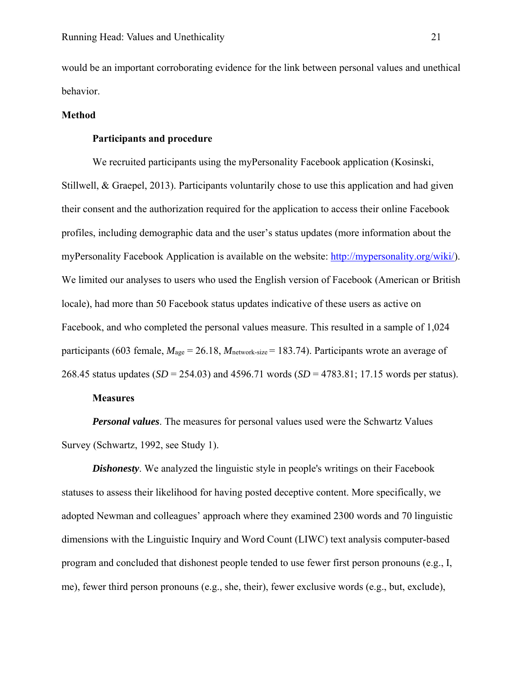would be an important corroborating evidence for the link between personal values and unethical behavior.

### **Method**

## **Participants and procedure**

We recruited participants using the myPersonality Facebook application (Kosinski, Stillwell, & Graepel, 2013). Participants voluntarily chose to use this application and had given their consent and the authorization required for the application to access their online Facebook profiles, including demographic data and the user's status updates (more information about the myPersonality Facebook Application is available on the website: http://mypersonality.org/wiki/). We limited our analyses to users who used the English version of Facebook (American or British locale), had more than 50 Facebook status updates indicative of these users as active on Facebook, and who completed the personal values measure. This resulted in a sample of 1,024 participants (603 female, *M*age = 26.18, *M*network-size = 183.74). Participants wrote an average of 268.45 status updates (*SD* = 254.03) and 4596.71 words (*SD* = 4783.81; 17.15 words per status).

# **Measures**

*Personal values*. The measures for personal values used were the Schwartz Values Survey (Schwartz, 1992, see Study 1).

*Dishonesty*. We analyzed the linguistic style in people's writings on their Facebook statuses to assess their likelihood for having posted deceptive content. More specifically, we adopted Newman and colleagues' approach where they examined 2300 words and 70 linguistic dimensions with the Linguistic Inquiry and Word Count (LIWC) text analysis computer-based program and concluded that dishonest people tended to use fewer first person pronouns (e.g., I, me), fewer third person pronouns (e.g., she, their), fewer exclusive words (e.g., but, exclude),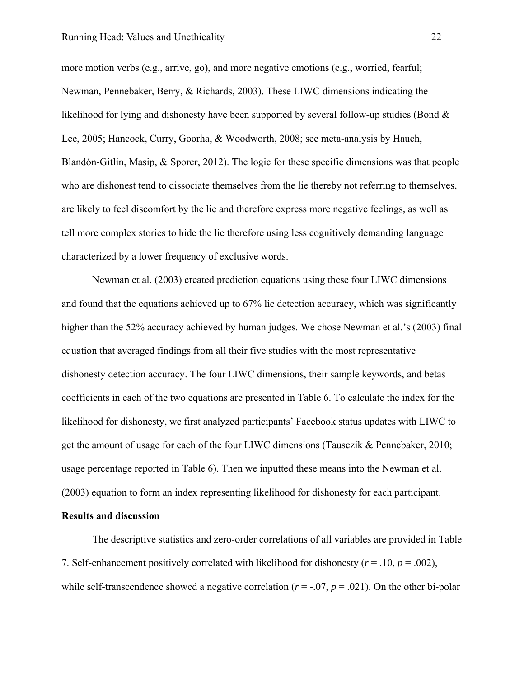more motion verbs (e.g., arrive, go), and more negative emotions (e.g., worried, fearful; Newman, Pennebaker, Berry, & Richards, 2003). These LIWC dimensions indicating the likelihood for lying and dishonesty have been supported by several follow-up studies (Bond & Lee, 2005; Hancock, Curry, Goorha, & Woodworth, 2008; see meta-analysis by Hauch, Blandón-Gitlin, Masip, & Sporer, 2012). The logic for these specific dimensions was that people who are dishonest tend to dissociate themselves from the lie thereby not referring to themselves, are likely to feel discomfort by the lie and therefore express more negative feelings, as well as tell more complex stories to hide the lie therefore using less cognitively demanding language characterized by a lower frequency of exclusive words.

Newman et al. (2003) created prediction equations using these four LIWC dimensions and found that the equations achieved up to 67% lie detection accuracy, which was significantly higher than the 52% accuracy achieved by human judges. We chose Newman et al.'s (2003) final equation that averaged findings from all their five studies with the most representative dishonesty detection accuracy. The four LIWC dimensions, their sample keywords, and betas coefficients in each of the two equations are presented in Table 6. To calculate the index for the likelihood for dishonesty, we first analyzed participants' Facebook status updates with LIWC to get the amount of usage for each of the four LIWC dimensions (Tausczik & Pennebaker, 2010; usage percentage reported in Table 6). Then we inputted these means into the Newman et al. (2003) equation to form an index representing likelihood for dishonesty for each participant.

# **Results and discussion**

The descriptive statistics and zero-order correlations of all variables are provided in Table 7. Self-enhancement positively correlated with likelihood for dishonesty  $(r = .10, p = .002)$ , while self-transcendence showed a negative correlation  $(r = 0.07, p = 0.021)$ . On the other bi-polar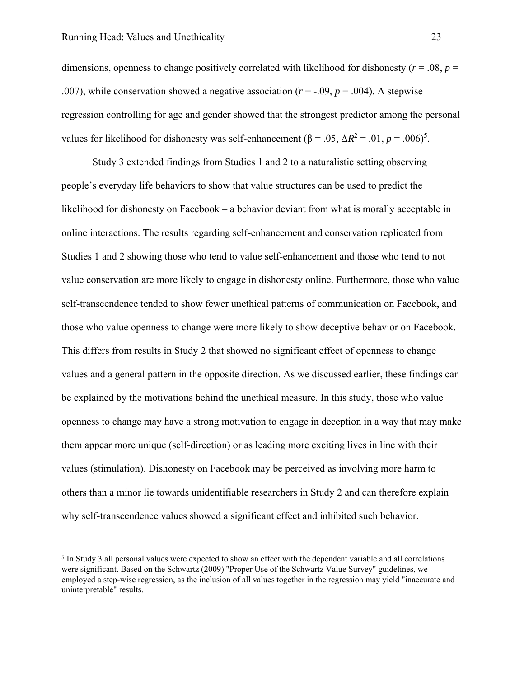$\overline{a}$ 

dimensions, openness to change positively correlated with likelihood for dishonesty (*r* = .08, *p* = .007), while conservation showed a negative association  $(r = -0.09, p = 0.004)$ . A stepwise regression controlling for age and gender showed that the strongest predictor among the personal values for likelihood for dishonesty was self-enhancement ( $\beta = .05$ ,  $\Delta R^2 = .01$ ,  $p = .006$ )<sup>5</sup>.

Study 3 extended findings from Studies 1 and 2 to a naturalistic setting observing people's everyday life behaviors to show that value structures can be used to predict the likelihood for dishonesty on Facebook – a behavior deviant from what is morally acceptable in online interactions. The results regarding self-enhancement and conservation replicated from Studies 1 and 2 showing those who tend to value self-enhancement and those who tend to not value conservation are more likely to engage in dishonesty online. Furthermore, those who value self-transcendence tended to show fewer unethical patterns of communication on Facebook, and those who value openness to change were more likely to show deceptive behavior on Facebook. This differs from results in Study 2 that showed no significant effect of openness to change values and a general pattern in the opposite direction. As we discussed earlier, these findings can be explained by the motivations behind the unethical measure. In this study, those who value openness to change may have a strong motivation to engage in deception in a way that may make them appear more unique (self-direction) or as leading more exciting lives in line with their values (stimulation). Dishonesty on Facebook may be perceived as involving more harm to others than a minor lie towards unidentifiable researchers in Study 2 and can therefore explain why self-transcendence values showed a significant effect and inhibited such behavior.

<sup>5</sup> In Study 3 all personal values were expected to show an effect with the dependent variable and all correlations were significant. Based on the Schwartz (2009) "Proper Use of the Schwartz Value Survey" guidelines, we employed a step-wise regression, as the inclusion of all values together in the regression may yield "inaccurate and uninterpretable" results.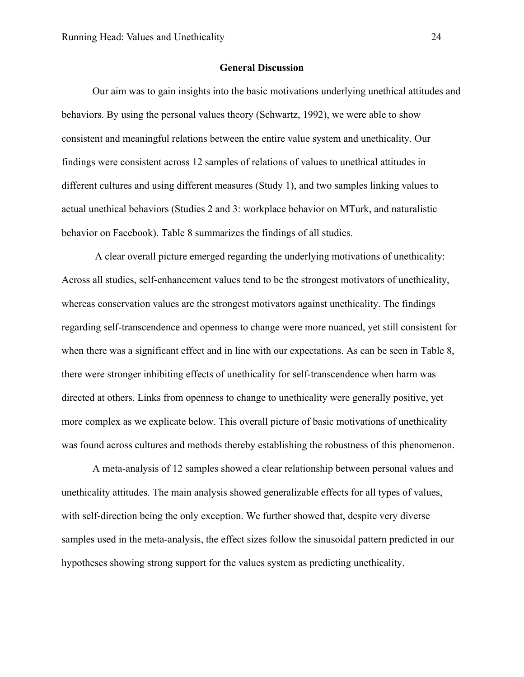### **General Discussion**

Our aim was to gain insights into the basic motivations underlying unethical attitudes and behaviors. By using the personal values theory (Schwartz, 1992), we were able to show consistent and meaningful relations between the entire value system and unethicality. Our findings were consistent across 12 samples of relations of values to unethical attitudes in different cultures and using different measures (Study 1), and two samples linking values to actual unethical behaviors (Studies 2 and 3: workplace behavior on MTurk, and naturalistic behavior on Facebook). Table 8 summarizes the findings of all studies.

 A clear overall picture emerged regarding the underlying motivations of unethicality: Across all studies, self-enhancement values tend to be the strongest motivators of unethicality, whereas conservation values are the strongest motivators against unethicality. The findings regarding self-transcendence and openness to change were more nuanced, yet still consistent for when there was a significant effect and in line with our expectations. As can be seen in Table 8, there were stronger inhibiting effects of unethicality for self-transcendence when harm was directed at others. Links from openness to change to unethicality were generally positive, yet more complex as we explicate below. This overall picture of basic motivations of unethicality was found across cultures and methods thereby establishing the robustness of this phenomenon.

A meta-analysis of 12 samples showed a clear relationship between personal values and unethicality attitudes. The main analysis showed generalizable effects for all types of values, with self-direction being the only exception. We further showed that, despite very diverse samples used in the meta-analysis, the effect sizes follow the sinusoidal pattern predicted in our hypotheses showing strong support for the values system as predicting unethicality.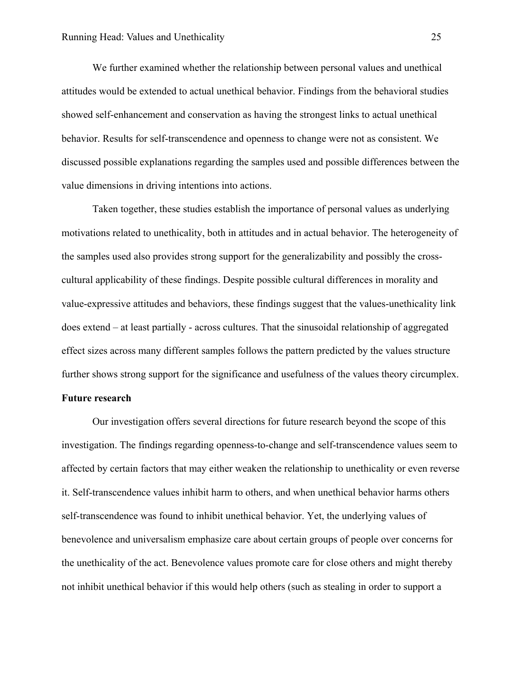We further examined whether the relationship between personal values and unethical attitudes would be extended to actual unethical behavior. Findings from the behavioral studies showed self-enhancement and conservation as having the strongest links to actual unethical behavior. Results for self-transcendence and openness to change were not as consistent. We discussed possible explanations regarding the samples used and possible differences between the value dimensions in driving intentions into actions.

Taken together, these studies establish the importance of personal values as underlying motivations related to unethicality, both in attitudes and in actual behavior. The heterogeneity of the samples used also provides strong support for the generalizability and possibly the crosscultural applicability of these findings. Despite possible cultural differences in morality and value-expressive attitudes and behaviors, these findings suggest that the values-unethicality link does extend – at least partially - across cultures. That the sinusoidal relationship of aggregated effect sizes across many different samples follows the pattern predicted by the values structure further shows strong support for the significance and usefulness of the values theory circumplex.

# **Future research**

Our investigation offers several directions for future research beyond the scope of this investigation. The findings regarding openness-to-change and self-transcendence values seem to affected by certain factors that may either weaken the relationship to unethicality or even reverse it. Self-transcendence values inhibit harm to others, and when unethical behavior harms others self-transcendence was found to inhibit unethical behavior. Yet, the underlying values of benevolence and universalism emphasize care about certain groups of people over concerns for the unethicality of the act. Benevolence values promote care for close others and might thereby not inhibit unethical behavior if this would help others (such as stealing in order to support a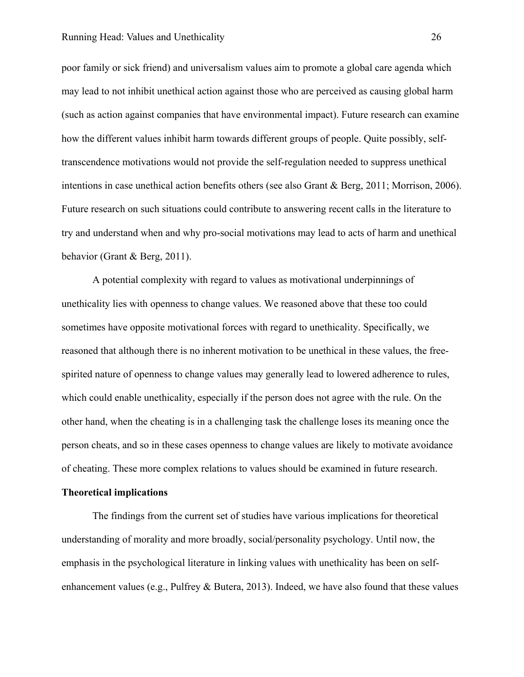poor family or sick friend) and universalism values aim to promote a global care agenda which may lead to not inhibit unethical action against those who are perceived as causing global harm (such as action against companies that have environmental impact). Future research can examine how the different values inhibit harm towards different groups of people. Quite possibly, selftranscendence motivations would not provide the self-regulation needed to suppress unethical intentions in case unethical action benefits others (see also Grant & Berg, 2011; Morrison, 2006). Future research on such situations could contribute to answering recent calls in the literature to try and understand when and why pro-social motivations may lead to acts of harm and unethical behavior (Grant & Berg, 2011).

A potential complexity with regard to values as motivational underpinnings of unethicality lies with openness to change values. We reasoned above that these too could sometimes have opposite motivational forces with regard to unethicality. Specifically, we reasoned that although there is no inherent motivation to be unethical in these values, the freespirited nature of openness to change values may generally lead to lowered adherence to rules, which could enable unethicality, especially if the person does not agree with the rule. On the other hand, when the cheating is in a challenging task the challenge loses its meaning once the person cheats, and so in these cases openness to change values are likely to motivate avoidance of cheating. These more complex relations to values should be examined in future research.

### **Theoretical implications**

The findings from the current set of studies have various implications for theoretical understanding of morality and more broadly, social/personality psychology. Until now, the emphasis in the psychological literature in linking values with unethicality has been on selfenhancement values (e.g., Pulfrey & Butera, 2013). Indeed, we have also found that these values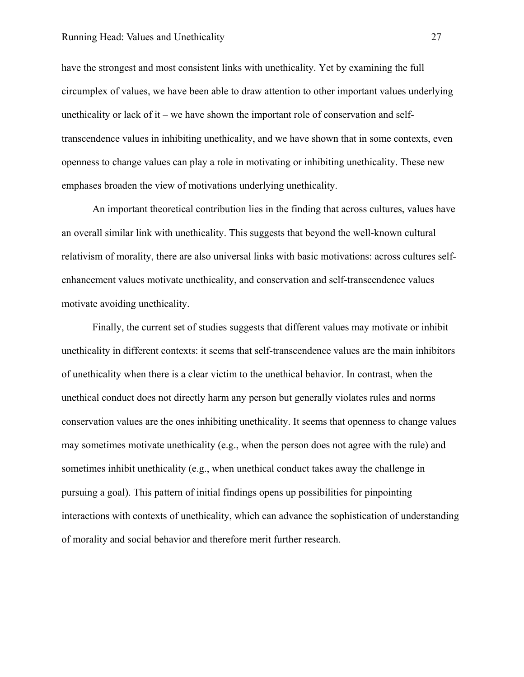have the strongest and most consistent links with unethicality. Yet by examining the full circumplex of values, we have been able to draw attention to other important values underlying unethicality or lack of it – we have shown the important role of conservation and selftranscendence values in inhibiting unethicality, and we have shown that in some contexts, even openness to change values can play a role in motivating or inhibiting unethicality. These new emphases broaden the view of motivations underlying unethicality.

An important theoretical contribution lies in the finding that across cultures, values have an overall similar link with unethicality. This suggests that beyond the well-known cultural relativism of morality, there are also universal links with basic motivations: across cultures selfenhancement values motivate unethicality, and conservation and self-transcendence values motivate avoiding unethicality.

Finally, the current set of studies suggests that different values may motivate or inhibit unethicality in different contexts: it seems that self-transcendence values are the main inhibitors of unethicality when there is a clear victim to the unethical behavior. In contrast, when the unethical conduct does not directly harm any person but generally violates rules and norms conservation values are the ones inhibiting unethicality. It seems that openness to change values may sometimes motivate unethicality (e.g., when the person does not agree with the rule) and sometimes inhibit unethicality (e.g., when unethical conduct takes away the challenge in pursuing a goal). This pattern of initial findings opens up possibilities for pinpointing interactions with contexts of unethicality, which can advance the sophistication of understanding of morality and social behavior and therefore merit further research.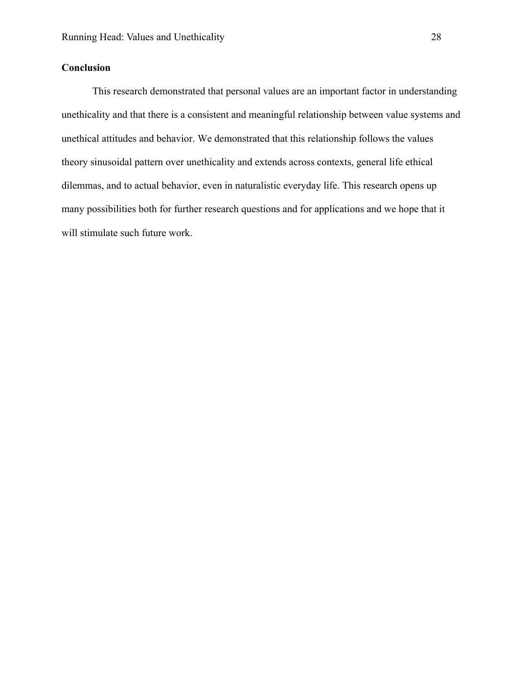# **Conclusion**

This research demonstrated that personal values are an important factor in understanding unethicality and that there is a consistent and meaningful relationship between value systems and unethical attitudes and behavior. We demonstrated that this relationship follows the values theory sinusoidal pattern over unethicality and extends across contexts, general life ethical dilemmas, and to actual behavior, even in naturalistic everyday life. This research opens up many possibilities both for further research questions and for applications and we hope that it will stimulate such future work.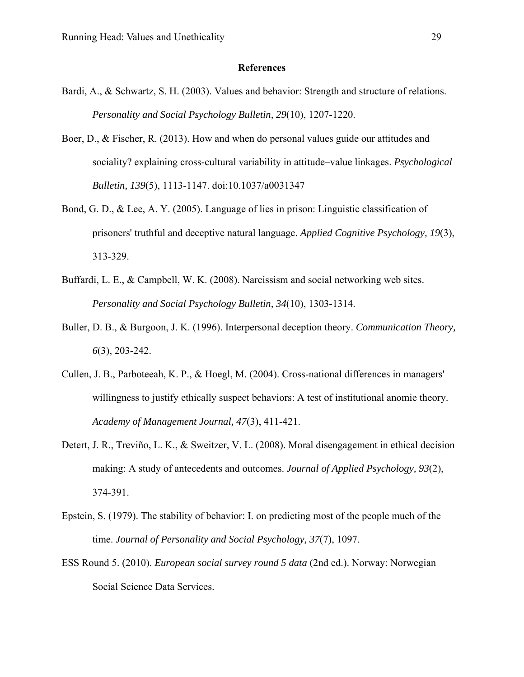# **References**

- Bardi, A., & Schwartz, S. H. (2003). Values and behavior: Strength and structure of relations. *Personality and Social Psychology Bulletin, 29*(10), 1207-1220.
- Boer, D., & Fischer, R. (2013). How and when do personal values guide our attitudes and sociality? explaining cross-cultural variability in attitude–value linkages. *Psychological Bulletin, 139*(5), 1113-1147. doi:10.1037/a0031347
- Bond, G. D., & Lee, A. Y. (2005). Language of lies in prison: Linguistic classification of prisoners' truthful and deceptive natural language. *Applied Cognitive Psychology, 19*(3), 313-329.
- Buffardi, L. E., & Campbell, W. K. (2008). Narcissism and social networking web sites. *Personality and Social Psychology Bulletin, 34*(10), 1303-1314.
- Buller, D. B., & Burgoon, J. K. (1996). Interpersonal deception theory. *Communication Theory, 6*(3), 203-242.
- Cullen, J. B., Parboteeah, K. P., & Hoegl, M. (2004). Cross-national differences in managers' willingness to justify ethically suspect behaviors: A test of institutional anomie theory. *Academy of Management Journal, 47*(3), 411-421.
- Detert, J. R., Treviño, L. K., & Sweitzer, V. L. (2008). Moral disengagement in ethical decision making: A study of antecedents and outcomes. *Journal of Applied Psychology, 93*(2), 374-391.
- Epstein, S. (1979). The stability of behavior: I. on predicting most of the people much of the time. *Journal of Personality and Social Psychology, 37*(7), 1097.
- ESS Round 5. (2010). *European social survey round 5 data* (2nd ed.). Norway: Norwegian Social Science Data Services.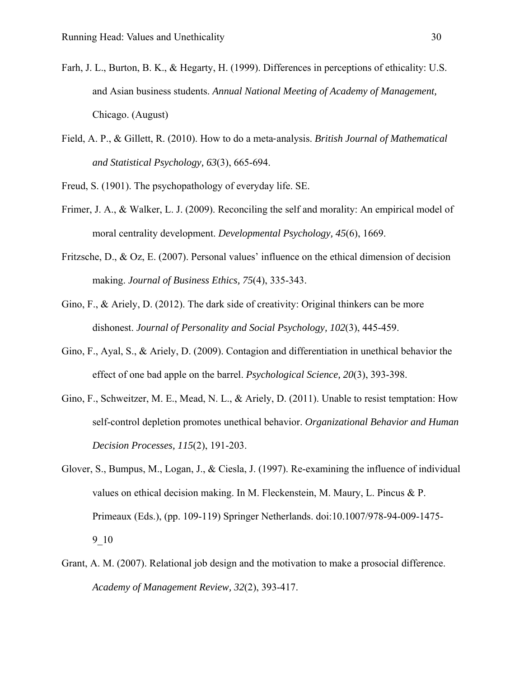- Farh, J. L., Burton, B. K., & Hegarty, H. (1999). Differences in perceptions of ethicality: U.S. and Asian business students. *Annual National Meeting of Academy of Management,*  Chicago. (August)
- Field, A. P., & Gillett, R. (2010). How to do a meta‐analysis. *British Journal of Mathematical and Statistical Psychology, 63*(3), 665-694.
- Freud, S. (1901). The psychopathology of everyday life. SE.
- Frimer, J. A., & Walker, L. J. (2009). Reconciling the self and morality: An empirical model of moral centrality development. *Developmental Psychology, 45*(6), 1669.
- Fritzsche, D., & Oz, E. (2007). Personal values' influence on the ethical dimension of decision making. *Journal of Business Ethics, 75*(4), 335-343.
- Gino, F., & Ariely, D. (2012). The dark side of creativity: Original thinkers can be more dishonest. *Journal of Personality and Social Psychology, 102*(3), 445-459.
- Gino, F., Ayal, S., & Ariely, D. (2009). Contagion and differentiation in unethical behavior the effect of one bad apple on the barrel. *Psychological Science, 20*(3), 393-398.
- Gino, F., Schweitzer, M. E., Mead, N. L., & Ariely, D. (2011). Unable to resist temptation: How self-control depletion promotes unethical behavior. *Organizational Behavior and Human Decision Processes, 115*(2), 191-203.
- Glover, S., Bumpus, M., Logan, J., & Ciesla, J. (1997). Re-examining the influence of individual values on ethical decision making. In M. Fleckenstein, M. Maury, L. Pincus & P. Primeaux (Eds.), (pp. 109-119) Springer Netherlands. doi:10.1007/978-94-009-1475- 9\_10
- Grant, A. M. (2007). Relational job design and the motivation to make a prosocial difference. *Academy of Management Review, 32*(2), 393-417.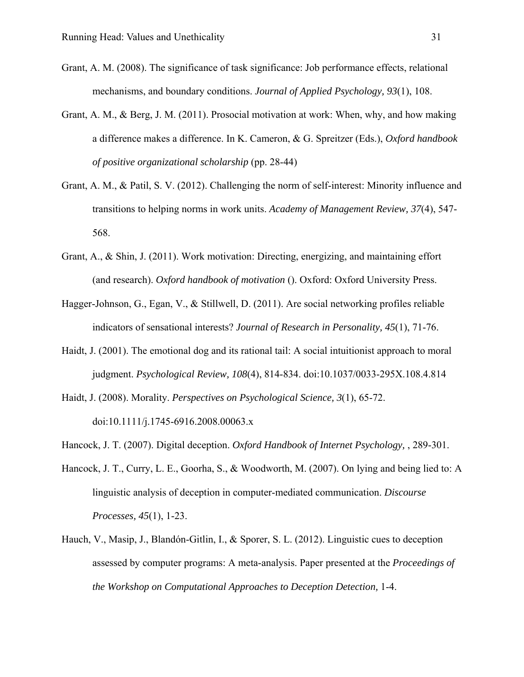- Grant, A. M. (2008). The significance of task significance: Job performance effects, relational mechanisms, and boundary conditions. *Journal of Applied Psychology, 93*(1), 108.
- Grant, A. M., & Berg, J. M. (2011). Prosocial motivation at work: When, why, and how making a difference makes a difference. In K. Cameron, & G. Spreitzer (Eds.), *Oxford handbook of positive organizational scholarship* (pp. 28-44)
- Grant, A. M., & Patil, S. V. (2012). Challenging the norm of self-interest: Minority influence and transitions to helping norms in work units. *Academy of Management Review, 37*(4), 547- 568.
- Grant, A., & Shin, J. (2011). Work motivation: Directing, energizing, and maintaining effort (and research). *Oxford handbook of motivation* (). Oxford: Oxford University Press.
- Hagger-Johnson, G., Egan, V., & Stillwell, D. (2011). Are social networking profiles reliable indicators of sensational interests? *Journal of Research in Personality, 45*(1), 71-76.
- Haidt, J. (2001). The emotional dog and its rational tail: A social intuitionist approach to moral judgment. *Psychological Review, 108*(4), 814-834. doi:10.1037/0033-295X.108.4.814
- Haidt, J. (2008). Morality. *Perspectives on Psychological Science, 3*(1), 65-72. doi:10.1111/j.1745-6916.2008.00063.x
- Hancock, J. T. (2007). Digital deception. *Oxford Handbook of Internet Psychology,* , 289-301.
- Hancock, J. T., Curry, L. E., Goorha, S., & Woodworth, M. (2007). On lying and being lied to: A linguistic analysis of deception in computer-mediated communication. *Discourse Processes, 45*(1), 1-23.
- Hauch, V., Masip, J., Blandón-Gitlin, I., & Sporer, S. L. (2012). Linguistic cues to deception assessed by computer programs: A meta-analysis. Paper presented at the *Proceedings of the Workshop on Computational Approaches to Deception Detection,* 1-4.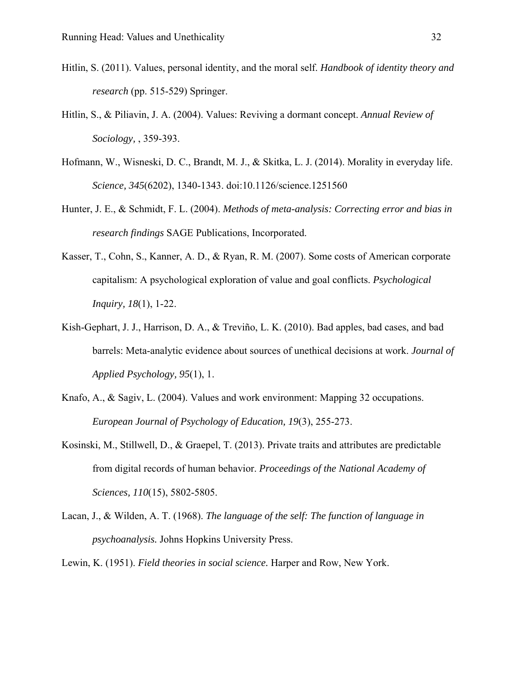- Hitlin, S. (2011). Values, personal identity, and the moral self. *Handbook of identity theory and research* (pp. 515-529) Springer.
- Hitlin, S., & Piliavin, J. A. (2004). Values: Reviving a dormant concept. *Annual Review of Sociology,* , 359-393.
- Hofmann, W., Wisneski, D. C., Brandt, M. J., & Skitka, L. J. (2014). Morality in everyday life. *Science, 345*(6202), 1340-1343. doi:10.1126/science.1251560
- Hunter, J. E., & Schmidt, F. L. (2004). *Methods of meta-analysis: Correcting error and bias in research findings* SAGE Publications, Incorporated.
- Kasser, T., Cohn, S., Kanner, A. D., & Ryan, R. M. (2007). Some costs of American corporate capitalism: A psychological exploration of value and goal conflicts. *Psychological Inquiry, 18*(1), 1-22.
- Kish-Gephart, J. J., Harrison, D. A., & Treviño, L. K. (2010). Bad apples, bad cases, and bad barrels: Meta-analytic evidence about sources of unethical decisions at work. *Journal of Applied Psychology, 95*(1), 1.
- Knafo, A., & Sagiv, L. (2004). Values and work environment: Mapping 32 occupations. *European Journal of Psychology of Education, 19*(3), 255-273.
- Kosinski, M., Stillwell, D., & Graepel, T. (2013). Private traits and attributes are predictable from digital records of human behavior. *Proceedings of the National Academy of Sciences, 110*(15), 5802-5805.
- Lacan, J., & Wilden, A. T. (1968). *The language of the self: The function of language in psychoanalysis.* Johns Hopkins University Press.
- Lewin, K. (1951). *Field theories in social science.* Harper and Row, New York.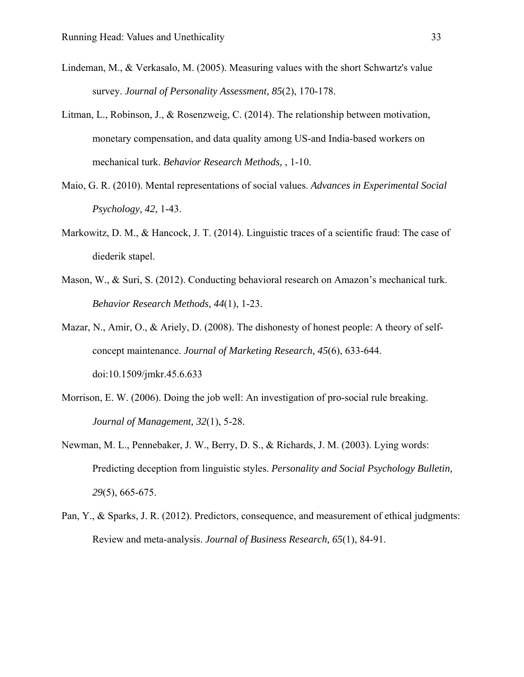- Lindeman, M., & Verkasalo, M. (2005). Measuring values with the short Schwartz's value survey. *Journal of Personality Assessment, 85*(2), 170-178.
- Litman, L., Robinson, J., & Rosenzweig, C. (2014). The relationship between motivation, monetary compensation, and data quality among US-and India-based workers on mechanical turk. *Behavior Research Methods,* , 1-10.
- Maio, G. R. (2010). Mental representations of social values. *Advances in Experimental Social Psychology, 42*, 1-43.
- Markowitz, D. M., & Hancock, J. T. (2014). Linguistic traces of a scientific fraud: The case of diederik stapel.
- Mason, W., & Suri, S. (2012). Conducting behavioral research on Amazon's mechanical turk. *Behavior Research Methods, 44*(1), 1-23.
- Mazar, N., Amir, O., & Ariely, D. (2008). The dishonesty of honest people: A theory of selfconcept maintenance. *Journal of Marketing Research, 45*(6), 633-644. doi:10.1509/jmkr.45.6.633
- Morrison, E. W. (2006). Doing the job well: An investigation of pro-social rule breaking. *Journal of Management, 32*(1), 5-28.
- Newman, M. L., Pennebaker, J. W., Berry, D. S., & Richards, J. M. (2003). Lying words: Predicting deception from linguistic styles. *Personality and Social Psychology Bulletin, 29*(5), 665-675.
- Pan, Y., & Sparks, J. R. (2012). Predictors, consequence, and measurement of ethical judgments: Review and meta-analysis. *Journal of Business Research, 65*(1), 84-91.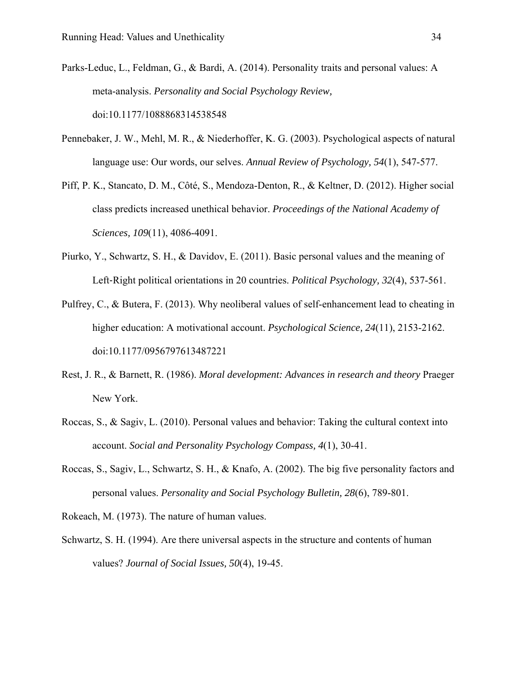- Parks-Leduc, L., Feldman, G., & Bardi, A. (2014). Personality traits and personal values: A meta-analysis. *Personality and Social Psychology Review,*  doi:10.1177/1088868314538548
- Pennebaker, J. W., Mehl, M. R., & Niederhoffer, K. G. (2003). Psychological aspects of natural language use: Our words, our selves. *Annual Review of Psychology, 54*(1), 547-577.
- Piff, P. K., Stancato, D. M., Côté, S., Mendoza-Denton, R., & Keltner, D. (2012). Higher social class predicts increased unethical behavior. *Proceedings of the National Academy of Sciences, 109*(11), 4086-4091.
- Piurko, Y., Schwartz, S. H., & Davidov, E. (2011). Basic personal values and the meaning of Left-Right political orientations in 20 countries. *Political Psychology*, 32(4), 537-561.
- Pulfrey, C., & Butera, F. (2013). Why neoliberal values of self-enhancement lead to cheating in higher education: A motivational account. *Psychological Science, 24*(11), 2153-2162. doi:10.1177/0956797613487221
- Rest, J. R., & Barnett, R. (1986). *Moral development: Advances in research and theory* Praeger New York.
- Roccas, S., & Sagiv, L. (2010). Personal values and behavior: Taking the cultural context into account. *Social and Personality Psychology Compass, 4*(1), 30-41.
- Roccas, S., Sagiv, L., Schwartz, S. H., & Knafo, A. (2002). The big five personality factors and personal values. *Personality and Social Psychology Bulletin, 28*(6), 789-801.

Rokeach, M. (1973). The nature of human values.

Schwartz, S. H. (1994). Are there universal aspects in the structure and contents of human values? *Journal of Social Issues, 50*(4), 19-45.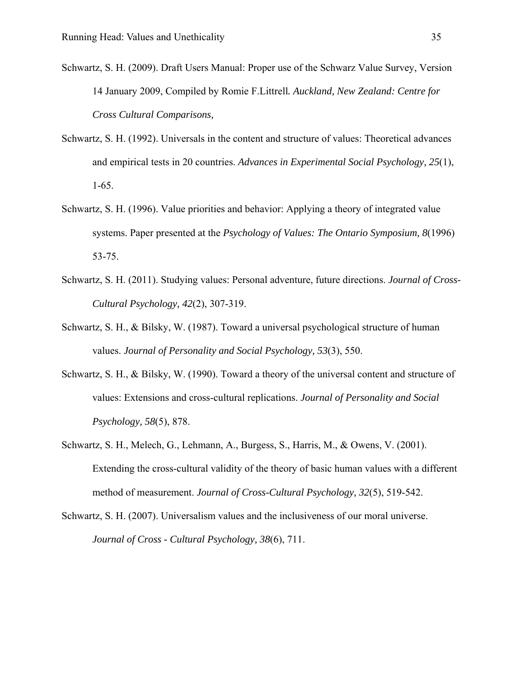- Schwartz, S. H. (2009). Draft Users Manual: Proper use of the Schwarz Value Survey, Version 14 January 2009, Compiled by Romie F.Littrell*. Auckland, New Zealand: Centre for Cross Cultural Comparisons,*
- Schwartz, S. H. (1992). Universals in the content and structure of values: Theoretical advances and empirical tests in 20 countries. *Advances in Experimental Social Psychology, 25*(1), 1-65.
- Schwartz, S. H. (1996). Value priorities and behavior: Applying a theory of integrated value systems. Paper presented at the *Psychology of Values: The Ontario Symposium, 8*(1996) 53-75.
- Schwartz, S. H. (2011). Studying values: Personal adventure, future directions. *Journal of Cross-Cultural Psychology, 42*(2), 307-319.
- Schwartz, S. H., & Bilsky, W. (1987). Toward a universal psychological structure of human values. *Journal of Personality and Social Psychology, 53*(3), 550.
- Schwartz, S. H., & Bilsky, W. (1990). Toward a theory of the universal content and structure of values: Extensions and cross-cultural replications. *Journal of Personality and Social Psychology, 58*(5), 878.
- Schwartz, S. H., Melech, G., Lehmann, A., Burgess, S., Harris, M., & Owens, V. (2001). Extending the cross-cultural validity of the theory of basic human values with a different method of measurement. *Journal of Cross-Cultural Psychology, 32*(5), 519-542.
- Schwartz, S. H. (2007). Universalism values and the inclusiveness of our moral universe. *Journal of Cross - Cultural Psychology, 38*(6), 711.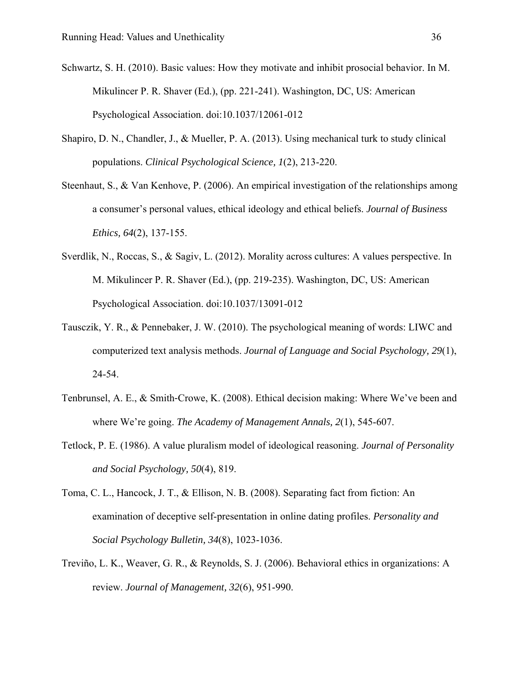- Schwartz, S. H. (2010). Basic values: How they motivate and inhibit prosocial behavior. In M. Mikulincer P. R. Shaver (Ed.), (pp. 221-241). Washington, DC, US: American Psychological Association. doi:10.1037/12061-012
- Shapiro, D. N., Chandler, J., & Mueller, P. A. (2013). Using mechanical turk to study clinical populations. *Clinical Psychological Science, 1*(2), 213-220.
- Steenhaut, S., & Van Kenhove, P. (2006). An empirical investigation of the relationships among a consumer's personal values, ethical ideology and ethical beliefs. *Journal of Business Ethics, 64*(2), 137-155.
- Sverdlik, N., Roccas, S., & Sagiv, L. (2012). Morality across cultures: A values perspective. In M. Mikulincer P. R. Shaver (Ed.), (pp. 219-235). Washington, DC, US: American Psychological Association. doi:10.1037/13091-012
- Tausczik, Y. R., & Pennebaker, J. W. (2010). The psychological meaning of words: LIWC and computerized text analysis methods. *Journal of Language and Social Psychology, 29*(1), 24-54.
- Tenbrunsel, A. E., & Smith‐Crowe, K. (2008). Ethical decision making: Where We've been and where We're going. *The Academy of Management Annals, 2*(1), 545-607.
- Tetlock, P. E. (1986). A value pluralism model of ideological reasoning. *Journal of Personality and Social Psychology, 50*(4), 819.
- Toma, C. L., Hancock, J. T., & Ellison, N. B. (2008). Separating fact from fiction: An examination of deceptive self-presentation in online dating profiles. *Personality and Social Psychology Bulletin, 34*(8), 1023-1036.
- Treviño, L. K., Weaver, G. R., & Reynolds, S. J. (2006). Behavioral ethics in organizations: A review. *Journal of Management, 32*(6), 951-990.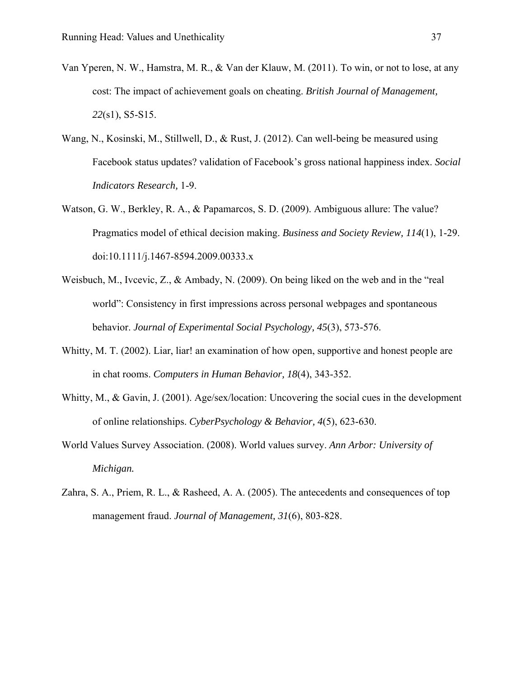- Van Yperen, N. W., Hamstra, M. R., & Van der Klauw, M. (2011). To win, or not to lose, at any cost: The impact of achievement goals on cheating. *British Journal of Management, 22*(s1), S5-S15.
- Wang, N., Kosinski, M., Stillwell, D., & Rust, J. (2012). Can well-being be measured using Facebook status updates? validation of Facebook's gross national happiness index. *Social Indicators Research,* 1-9.
- Watson, G. W., Berkley, R. A., & Papamarcos, S. D. (2009). Ambiguous allure: The value? Pragmatics model of ethical decision making. *Business and Society Review, 114*(1), 1-29. doi:10.1111/j.1467-8594.2009.00333.x
- Weisbuch, M., Ivcevic, Z., & Ambady, N. (2009). On being liked on the web and in the "real world": Consistency in first impressions across personal webpages and spontaneous behavior. *Journal of Experimental Social Psychology, 45*(3), 573-576.
- Whitty, M. T. (2002). Liar, liar! an examination of how open, supportive and honest people are in chat rooms. *Computers in Human Behavior, 18*(4), 343-352.
- Whitty, M., & Gavin, J. (2001). Age/sex/location: Uncovering the social cues in the development of online relationships. *CyberPsychology & Behavior, 4*(5), 623-630.
- World Values Survey Association. (2008). World values survey. *Ann Arbor: University of Michigan.*
- Zahra, S. A., Priem, R. L., & Rasheed, A. A. (2005). The antecedents and consequences of top management fraud. *Journal of Management, 31*(6), 803-828.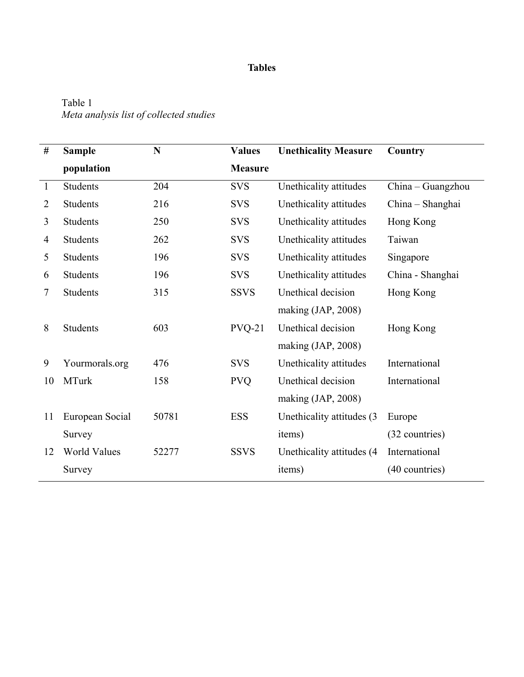# Table 1 *Meta analysis list of collected studies*

| #            | <b>Sample</b>       | N     | <b>Values</b>  | <b>Unethicality Measure</b> | Country           |
|--------------|---------------------|-------|----------------|-----------------------------|-------------------|
|              | population          |       | <b>Measure</b> |                             |                   |
| $\mathbf{1}$ | <b>Students</b>     | 204   | <b>SVS</b>     | Unethicality attitudes      | China - Guangzhou |
| 2            | <b>Students</b>     | 216   | <b>SVS</b>     | Unethicality attitudes      | China – Shanghai  |
| 3            | <b>Students</b>     | 250   | <b>SVS</b>     | Unethicality attitudes      | Hong Kong         |
| 4            | <b>Students</b>     | 262   | <b>SVS</b>     | Unethicality attitudes      | Taiwan            |
| 5            | <b>Students</b>     | 196   | <b>SVS</b>     | Unethicality attitudes      | Singapore         |
| 6            | <b>Students</b>     | 196   | <b>SVS</b>     | Unethicality attitudes      | China - Shanghai  |
| 7            | Students            | 315   | <b>SSVS</b>    | Unethical decision          | Hong Kong         |
|              |                     |       |                | making $(JAP, 2008)$        |                   |
| 8            | <b>Students</b>     | 603   | $PVQ-21$       | Unethical decision          | Hong Kong         |
|              |                     |       |                | making (JAP, 2008)          |                   |
| 9            | Yourmorals.org      | 476   | <b>SVS</b>     | Unethicality attitudes      | International     |
| 10           | <b>MTurk</b>        | 158   | <b>PVQ</b>     | Unethical decision          | International     |
|              |                     |       |                | making $(JAP, 2008)$        |                   |
| 11           | European Social     | 50781 | <b>ESS</b>     | Unethicality attitudes (3)  | Europe            |
|              | Survey              |       |                | items)                      | (32 countries)    |
| 12           | <b>World Values</b> | 52277 | <b>SSVS</b>    | Unethicality attitudes (4)  | International     |
|              | Survey              |       |                | items)                      | (40 countries)    |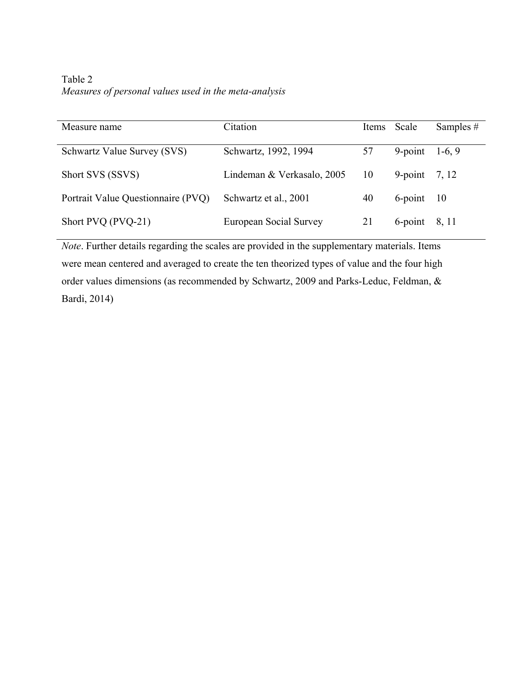Table 2 *Measures of personal values used in the meta-analysis* 

| Measure name                       | Citation                   |    | Items Scale     | Samples $#$ |
|------------------------------------|----------------------------|----|-----------------|-------------|
| Schwartz Value Survey (SVS)        | Schwartz, 1992, 1994       | 57 | $9$ -point      | $1-6, 9$    |
| Short SVS (SSVS)                   | Lindeman & Verkasalo, 2005 | 10 | 9-point $7, 12$ |             |
| Portrait Value Questionnaire (PVQ) | Schwartz et al., 2001      | 40 | $6$ -point $10$ |             |
| Short PVQ (PVQ-21)                 | European Social Survey     | 21 | $6$ -point      | 8, 11       |

*Note*. Further details regarding the scales are provided in the supplementary materials. Items were mean centered and averaged to create the ten theorized types of value and the four high order values dimensions (as recommended by Schwartz, 2009 and Parks-Leduc, Feldman, & Bardi, 2014)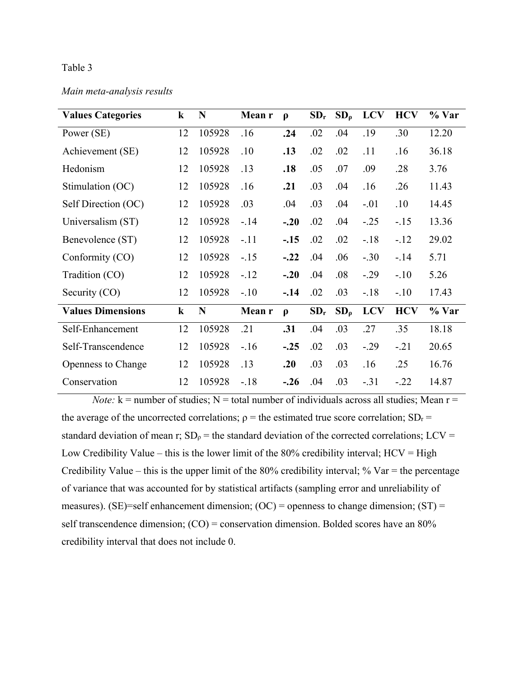*Main meta-analysis results* 

| <b>Values Categories</b>  | $\bf k$ | N      | Mean r | $\boldsymbol{\rho}$ | $SD_r$ | $SD_{\rho}$ | <b>LCV</b> | <b>HCV</b> | % Var |
|---------------------------|---------|--------|--------|---------------------|--------|-------------|------------|------------|-------|
| Power (SE)                | 12      | 105928 | .16    | .24                 | .02    | .04         | .19        | .30        | 12.20 |
| Achievement (SE)          | 12      | 105928 | .10    | .13                 | .02    | .02         | .11        | .16        | 36.18 |
| Hedonism                  | 12      | 105928 | .13    | .18                 | .05    | .07         | .09        | .28        | 3.76  |
| Stimulation (OC)          | 12      | 105928 | .16    | .21                 | .03    | .04         | .16        | .26        | 11.43 |
| Self Direction (OC)       | 12      | 105928 | .03    | .04                 | .03    | .04         | $-.01$     | .10        | 14.45 |
| Universalism (ST)         | 12      | 105928 | $-.14$ | $-.20$              | .02    | .04         | $-.25$     | $-.15$     | 13.36 |
| Benevolence (ST)          | 12      | 105928 | $-.11$ | $-.15$              | .02    | .02         | $-.18$     | $-.12$     | 29.02 |
| Conformity (CO)           | 12      | 105928 | $-.15$ | $-.22$              | .04    | .06         | $-.30$     | $-.14$     | 5.71  |
| Tradition (CO)            | 12      | 105928 | $-.12$ | $-.20$              | .04    | .08         | $-.29$     | $-.10$     | 5.26  |
| Security (CO)             | 12      | 105928 | $-.10$ | $-14$               | .02    | .03         | $-18$      | $-.10$     | 17.43 |
| <b>Values Dimensions</b>  | $\bf k$ | N      | Mean r | $\boldsymbol{\rho}$ | $SD_r$ | $SD_{\rho}$ | <b>LCV</b> | <b>HCV</b> | % Var |
| Self-Enhancement          | 12      | 105928 | .21    | .31                 | .04    | .03         | .27        | .35        | 18.18 |
| Self-Transcendence        | 12      | 105928 | $-.16$ | $-.25$              | .02    | .03         | $-.29$     | $-.21$     | 20.65 |
| <b>Openness to Change</b> | 12      | 105928 | .13    | .20                 | .03    | .03         | .16        | .25        | 16.76 |
| Conservation              | 12      | 105928 | $-.18$ | $-.26$              | .04    | .03         | $-.31$     | $-.22$     | 14.87 |

*Note:*  $k =$  number of studies;  $N =$  total number of individuals across all studies; Mean  $r =$ the average of the uncorrected correlations;  $\rho$  = the estimated true score correlation; SD<sub>r</sub> = standard deviation of mean r;  $SD_\rho$  = the standard deviation of the corrected correlations; LCV = Low Credibility Value – this is the lower limit of the  $80\%$  credibility interval;  $HCV = High$ Credibility Value – this is the upper limit of the 80% credibility interval; % Var = the percentage of variance that was accounted for by statistical artifacts (sampling error and unreliability of measures). (SE)=self enhancement dimension; (OC) = openness to change dimension;  $(ST)$  = self transcendence dimension; (CO) = conservation dimension. Bolded scores have an 80% credibility interval that does not include 0.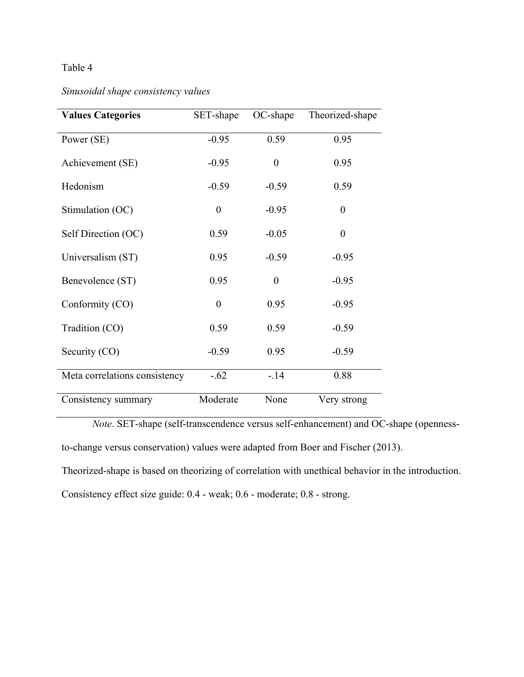# *Sinusoidal shape consistency values*

| <b>Values Categories</b>      | SET-shape | OC-shape         | Theorized-shape |
|-------------------------------|-----------|------------------|-----------------|
| Power (SE)                    | $-0.95$   | 0.59             | 0.95            |
| Achievement (SE)              | $-0.95$   | $\boldsymbol{0}$ | 0.95            |
| Hedonism                      | $-0.59$   | $-0.59$          | 0.59            |
| Stimulation (OC)              | $\theta$  | $-0.95$          | $\theta$        |
| Self Direction (OC)           | 0.59      | $-0.05$          | $\theta$        |
| Universalism (ST)             | 0.95      | $-0.59$          | $-0.95$         |
| Benevolence (ST)              | 0.95      | $\theta$         | $-0.95$         |
| Conformity (CO)               | $\theta$  | 0.95             | $-0.95$         |
| Tradition (CO)                | 0.59      | 0.59             | $-0.59$         |
| Security (CO)                 | $-0.59$   | 0.95             | $-0.59$         |
| Meta correlations consistency | $-.62$    | $-.14$           | 0.88            |
| Consistency summary           | Moderate  | None             | Very strong     |

*Note*. SET-shape (self-transcendence versus self-enhancement) and OC-shape (opennessto-change versus conservation) values were adapted from Boer and Fischer (2013).

Theorized-shape is based on theorizing of correlation with unethical behavior in the introduction.

Consistency effect size guide: 0.4 - weak; 0.6 - moderate; 0.8 - strong.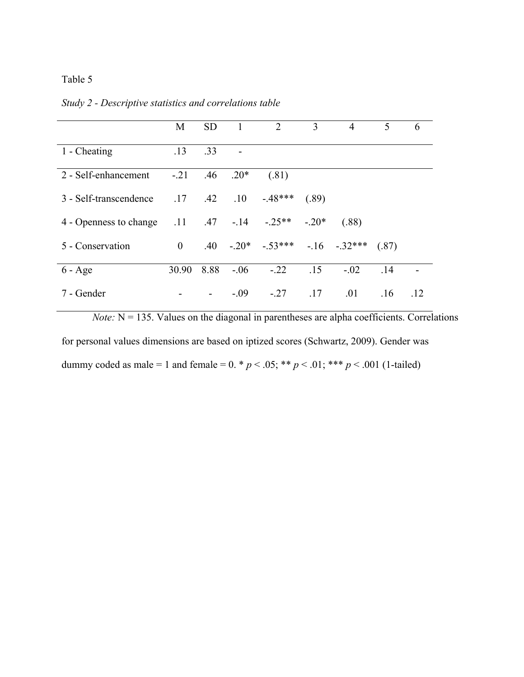| Study 2 - Descriptive statistics and correlations table |  |  |                |  |  |  |     |  |  |  |
|---------------------------------------------------------|--|--|----------------|--|--|--|-----|--|--|--|
|                                                         |  |  | M SD 1 2 3 4 5 |  |  |  | - 6 |  |  |  |

|                                                            | 1VI.           | ິ                        | $\blacksquare$ $\blacksquare$ |                                           | $\mathcal{I}$ and $\mathcal{I}$ |        | $\cdot$ | v   |
|------------------------------------------------------------|----------------|--------------------------|-------------------------------|-------------------------------------------|---------------------------------|--------|---------|-----|
| 1 - Cheating                                               | .13            | .33                      |                               |                                           |                                 |        |         |     |
| 2 - Self-enhancement                                       | $-.21$         | .46                      | $.20*$                        | (.81)                                     |                                 |        |         |     |
| 3 - Self-transcendence                                     |                |                          |                               | $.17 \t .42 \t .10 \t .48***$             | (.89)                           |        |         |     |
| 4 - Openness to change $.11$ $.47$ $-.14$ $-.25**$ $-.20*$ |                |                          |                               |                                           |                                 | (.88)  |         |     |
| 5 - Conservation                                           | $\overline{0}$ |                          |                               | $.40 \t-.20^* \t-.53*** \t-.16 \t-.32***$ |                                 |        | (.87)   |     |
| $6 - Age$                                                  | 30.90          | 8.88                     | $-.06$                        | $-.22$                                    | .15                             | $-.02$ | .14     |     |
| 7 - Gender                                                 |                | $\overline{\phantom{a}}$ | $-0.09$                       | $-.27$                                    | .17                             | .01    | .16     | .12 |

*Note:*  $N = 135$ . Values on the diagonal in parentheses are alpha coefficients. Correlations for personal values dimensions are based on iptized scores (Schwartz, 2009). Gender was dummy coded as male = 1 and female =  $0. * p < .05; ** p < .01; *** p < .001$  (1-tailed)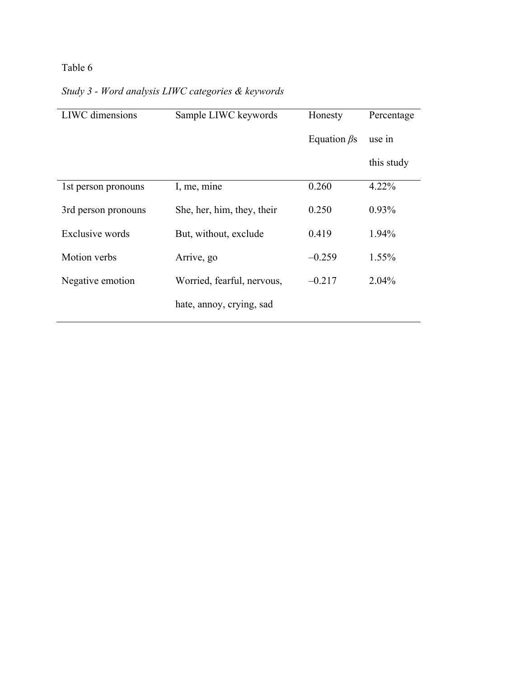| <b>LIWC</b> dimensions | Sample LIWC keywords       | Honesty            | Percentage |
|------------------------|----------------------------|--------------------|------------|
|                        |                            | Equation $\beta$ s | use in     |
|                        |                            |                    | this study |
| 1st person pronouns    | I, me, mine                | 0.260              | $4.22\%$   |
| 3rd person pronouns    | She, her, him, they, their | 0.250              | $0.93\%$   |
| Exclusive words        | But, without, exclude      | 0.419              | 1.94%      |
| Motion verbs           | Arrive, go                 | $-0.259$           | $1.55\%$   |
| Negative emotion       | Worried, fearful, nervous, | $-0.217$           | 2.04%      |
|                        | hate, annoy, crying, sad   |                    |            |

# *Study 3 - Word analysis LIWC categories & keywords*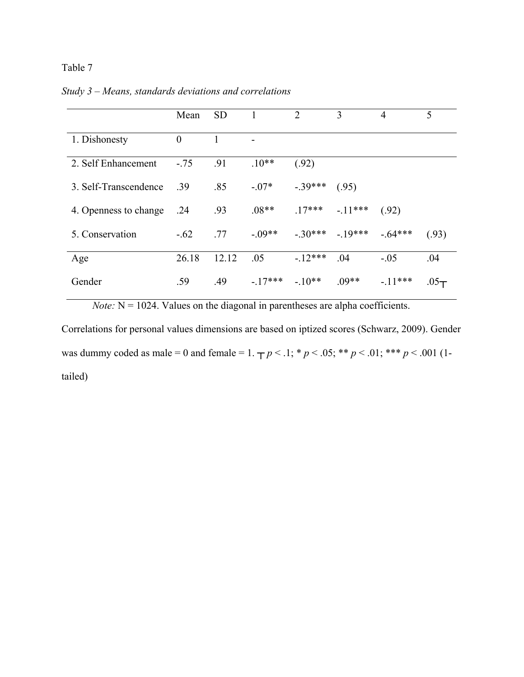|                       | Mean     | <b>SD</b> |           | $\overline{2}$ | 3                  | 4         | 5             |
|-----------------------|----------|-----------|-----------|----------------|--------------------|-----------|---------------|
| 1. Dishonesty         | $\theta$ |           |           |                |                    |           |               |
| 2. Self Enhancement   | $-.75$   | .91       | $.10**$   | (.92)          |                    |           |               |
| 3. Self-Transcendence | .39      | .85       | $-.07*$   | $-.39***$      | (.95)              |           |               |
| 4. Openness to change | .24      | .93       | $.08**$   |                | $.17***$ $-.11***$ | (.92)     |               |
| 5. Conservation       | $-.62$   | .77       | $-.09**$  |                | $-30***$ $-19***$  | $-64***$  | (.93)         |
| Age                   | 26.18    | 12.12     | .05       | $-12***$       | .04                | $-.05$    | .04           |
| Gender                | .59      | .49       | $-.17***$ | $-.10**$       | $.09**$            | $-.11***$ | $.05\text{-}$ |

*Study 3 – Means, standards deviations and correlations* 

*Note:*  $N = 1024$ . Values on the diagonal in parentheses are alpha coefficients.

Correlations for personal values dimensions are based on iptized scores (Schwarz, 2009). Gender was dummy coded as male = 0 and female = 1.  $\tau p$  < .1; \* *p* < .05; \*\* *p* < .01; \*\*\* *p* < .001 (1tailed)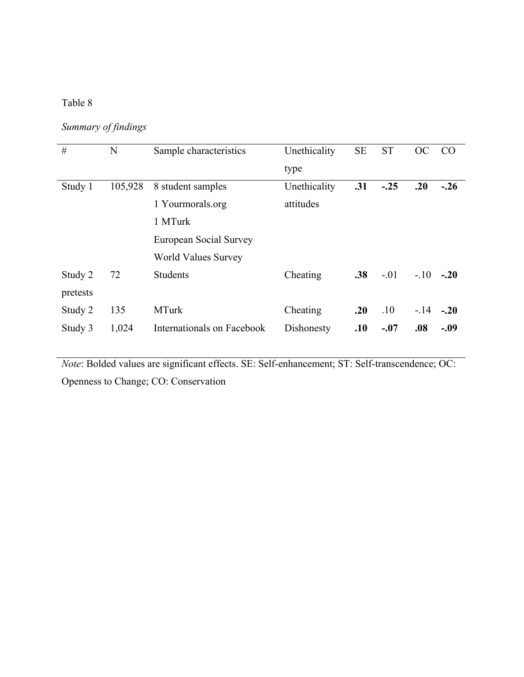*Summary of findings* 

| #        | N       | Sample characteristics     | Unethicality<br>type | <b>SE</b> | <b>ST</b> | OC     | CO     |
|----------|---------|----------------------------|----------------------|-----------|-----------|--------|--------|
|          |         |                            |                      |           |           |        |        |
| Study 1  | 105,928 | 8 student samples          | Unethicality         | .31       | $-.25$    | .20    | $-.26$ |
|          |         | 1 Yourmorals.org           | attitudes            |           |           |        |        |
|          |         | 1 MTurk                    |                      |           |           |        |        |
|          |         | European Social Survey     |                      |           |           |        |        |
|          |         | <b>World Values Survey</b> |                      |           |           |        |        |
| Study 2  | 72      | <b>Students</b>            | Cheating             | .38       | $-.01$    | $-.10$ | $-.20$ |
| pretests |         |                            |                      |           |           |        |        |
| Study 2  | 135     | <b>MTurk</b>               | Cheating             | .20       | .10       | $-.14$ | $-.20$ |
| Study 3  | 1,024   | Internationals on Facebook | Dishonesty           | .10       | $-.07$    | .08    | $-.09$ |

*Note*: Bolded values are significant effects. SE: Self-enhancement; ST: Self-transcendence; OC: Openness to Change; CO: Conservation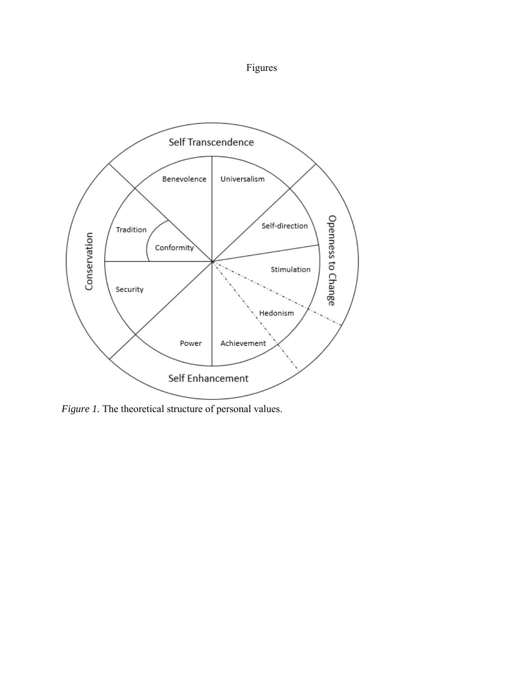



*Figure 1*. The theoretical structure of personal values.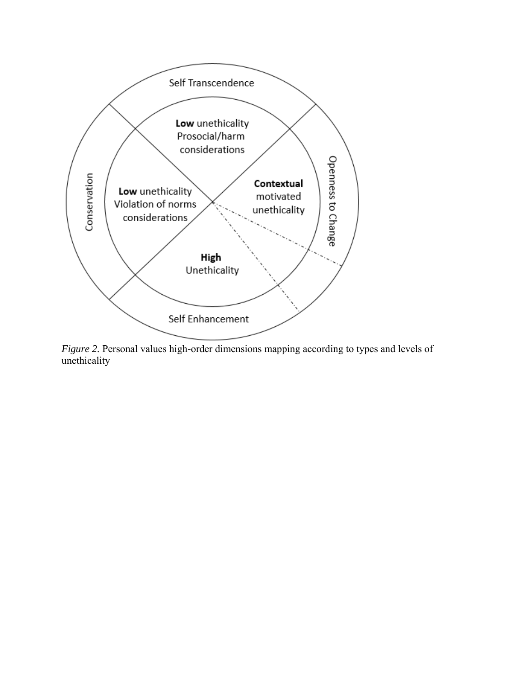

*Figure 2.* Personal values high-order dimensions mapping according to types and levels of unethicality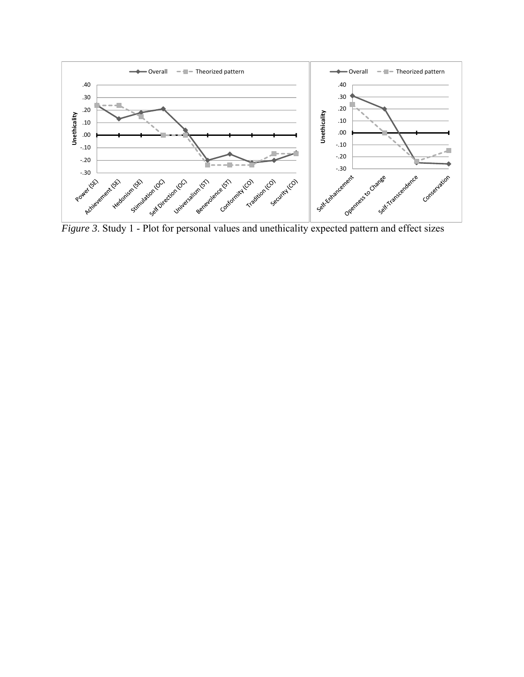

*Figure 3*. Study 1 - Plot for personal values and unethicality expected pattern and effect sizes